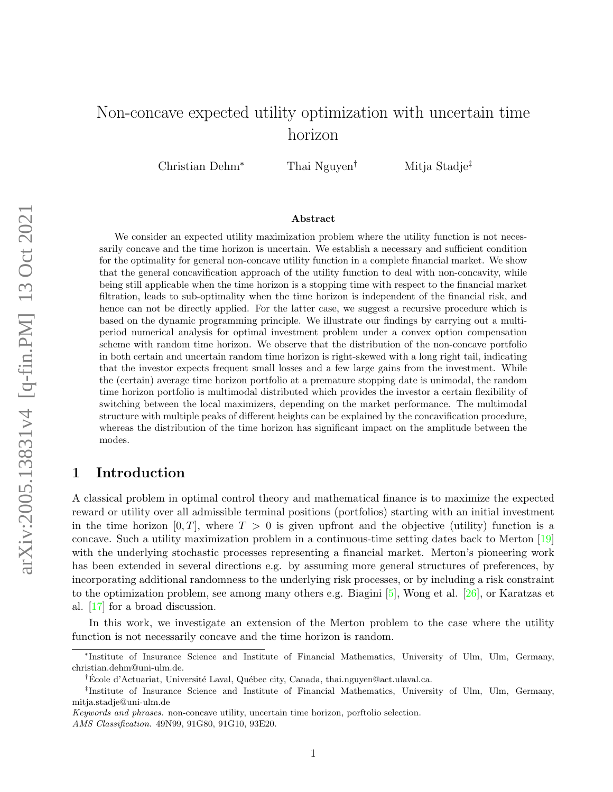# Non-concave expected utility optimization with uncertain time horizon

Christian Dehm<sup>∗</sup> Thai Nguyen† Mitja Stadje‡

#### Abstract

We consider an expected utility maximization problem where the utility function is not necessarily concave and the time horizon is uncertain. We establish a necessary and sufficient condition for the optimality for general non-concave utility function in a complete financial market. We show that the general concavification approach of the utility function to deal with non-concavity, while being still applicable when the time horizon is a stopping time with respect to the financial market filtration, leads to sub-optimality when the time horizon is independent of the financial risk, and hence can not be directly applied. For the latter case, we suggest a recursive procedure which is based on the dynamic programming principle. We illustrate our findings by carrying out a multiperiod numerical analysis for optimal investment problem under a convex option compensation scheme with random time horizon. We observe that the distribution of the non-concave portfolio in both certain and uncertain random time horizon is right-skewed with a long right tail, indicating that the investor expects frequent small losses and a few large gains from the investment. While the (certain) average time horizon portfolio at a premature stopping date is unimodal, the random time horizon portfolio is multimodal distributed which provides the investor a certain flexibility of switching between the local maximizers, depending on the market performance. The multimodal structure with multiple peaks of different heights can be explained by the concavification procedure, whereas the distribution of the time horizon has significant impact on the amplitude between the modes.

## 1 Introduction

A classical problem in optimal control theory and mathematical finance is to maximize the expected reward or utility over all admissible terminal positions (portfolios) starting with an initial investment in the time horizon  $[0, T]$ , where  $T > 0$  is given upfront and the objective (utility) function is a concave. Such a utility maximization problem in a continuous-time setting dates back to Merton [\[19\]](#page-24-0) with the underlying stochastic processes representing a financial market. Merton's pioneering work has been extended in several directions e.g. by assuming more general structures of preferences, by incorporating additional randomness to the underlying risk processes, or by including a risk constraint to the optimization problem, see among many others e.g. Biagini [\[5\]](#page-23-0), Wong et al. [\[26\]](#page-24-1), or Karatzas et al. [\[17\]](#page-23-1) for a broad discussion.

In this work, we investigate an extension of the Merton problem to the case where the utility function is not necessarily concave and the time horizon is random.

Keywords and phrases. non-concave utility, uncertain time horizon, porftolio selection. AMS Classification. 49N99, 91G80, 91G10, 93E20.

<sup>∗</sup> Institute of Insurance Science and Institute of Financial Mathematics, University of Ulm, Ulm, Germany, christian.dehm@uni-ulm.de.

<sup>&</sup>lt;sup>†</sup>Ecole d'Actuariat, Université Laval, Québec city, Canada, thai.nguyen@act.ulaval.ca.

<sup>‡</sup> Institute of Insurance Science and Institute of Financial Mathematics, University of Ulm, Ulm, Germany, mitja.stadje@uni-ulm.de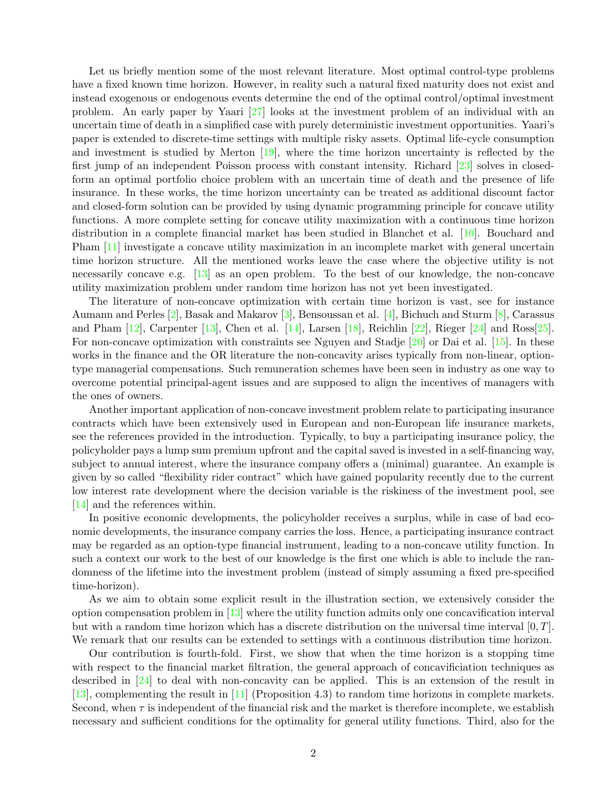Let us briefly mention some of the most relevant literature. Most optimal control-type problems have a fixed known time horizon. However, in reality such a natural fixed maturity does not exist and instead exogenous or endogenous events determine the end of the optimal control/optimal investment problem. An early paper by Yaari [\[27\]](#page-24-2) looks at the investment problem of an individual with an uncertain time of death in a simplified case with purely deterministic investment opportunities. Yaari's paper is extended to discrete-time settings with multiple risky assets. Optimal life-cycle consumption and investment is studied by Merton [\[19\]](#page-24-0), where the time horizon uncertainty is reflected by the first jump of an independent Poisson process with constant intensity. Richard [\[23\]](#page-24-3) solves in closedform an optimal portfolio choice problem with an uncertain time of death and the presence of life insurance. In these works, the time horizon uncertainty can be treated as additional discount factor and closed-form solution can be provided by using dynamic programming principle for concave utility functions. A more complete setting for concave utility maximization with a continuous time horizon distribution in a complete financial market has been studied in Blanchet et al. [\[10\]](#page-23-2). Bouchard and Pham [\[11\]](#page-23-3) investigate a concave utility maximization in an incomplete market with general uncertain time horizon structure. All the mentioned works leave the case where the objective utility is not necessarily concave e.g. [\[13\]](#page-23-4) as an open problem. To the best of our knowledge, the non-concave utility maximization problem under random time horizon has not yet been investigated.

The literature of non-concave optimization with certain time horizon is vast, see for instance Aumann and Perles [\[2\]](#page-23-5), Basak and Makarov [\[3\]](#page-23-6), Bensoussan et al. [\[4\]](#page-23-7), Bichuch and Sturm [\[8\]](#page-23-8), Carassus and Pham [\[12\]](#page-23-9), Carpenter [\[13\]](#page-23-4), Chen et al. [\[14\]](#page-23-10), Larsen [\[18\]](#page-24-4), Reichlin [\[22\]](#page-24-5), Rieger [\[24\]](#page-24-6) and Ross[\[25\]](#page-24-7). For non-concave optimization with constraints see Nguyen and Stadje [\[20\]](#page-24-8) or Dai et al. [\[15\]](#page-23-11). In these works in the finance and the OR literature the non-concavity arises typically from non-linear, optiontype managerial compensations. Such remuneration schemes have been seen in industry as one way to overcome potential principal-agent issues and are supposed to align the incentives of managers with the ones of owners.

Another important application of non-concave investment problem relate to participating insurance contracts which have been extensively used in European and non-European life insurance markets, see the references provided in the introduction. Typically, to buy a participating insurance policy, the policyholder pays a lump sum premium upfront and the capital saved is invested in a self-financing way, subject to annual interest, where the insurance company offers a (minimal) guarantee. An example is given by so called "flexibility rider contract" which have gained popularity recently due to the current low interest rate development where the decision variable is the riskiness of the investment pool, see [\[14\]](#page-23-10) and the references within.

In positive economic developments, the policyholder receives a surplus, while in case of bad economic developments, the insurance company carries the loss. Hence, a participating insurance contract may be regarded as an option-type financial instrument, leading to a non-concave utility function. In such a context our work to the best of our knowledge is the first one which is able to include the randomness of the lifetime into the investment problem (instead of simply assuming a fixed pre-specified time-horizon).

As we aim to obtain some explicit result in the illustration section, we extensively consider the option compensation problem in [\[13\]](#page-23-4) where the utility function admits only one concavification interval but with a random time horizon which has a discrete distribution on the universal time interval  $[0, T]$ . We remark that our results can be extended to settings with a continuous distribution time horizon.

Our contribution is fourth-fold. First, we show that when the time horizon is a stopping time with respect to the financial market filtration, the general approach of concavificiation techniques as described in [\[24\]](#page-24-6) to deal with non-concavity can be applied. This is an extension of the result in [\[13\]](#page-23-4), complementing the result in [\[11\]](#page-23-3) (Proposition 4.3) to random time horizons in complete markets. Second, when  $\tau$  is independent of the financial risk and the market is therefore incomplete, we establish necessary and sufficient conditions for the optimality for general utility functions. Third, also for the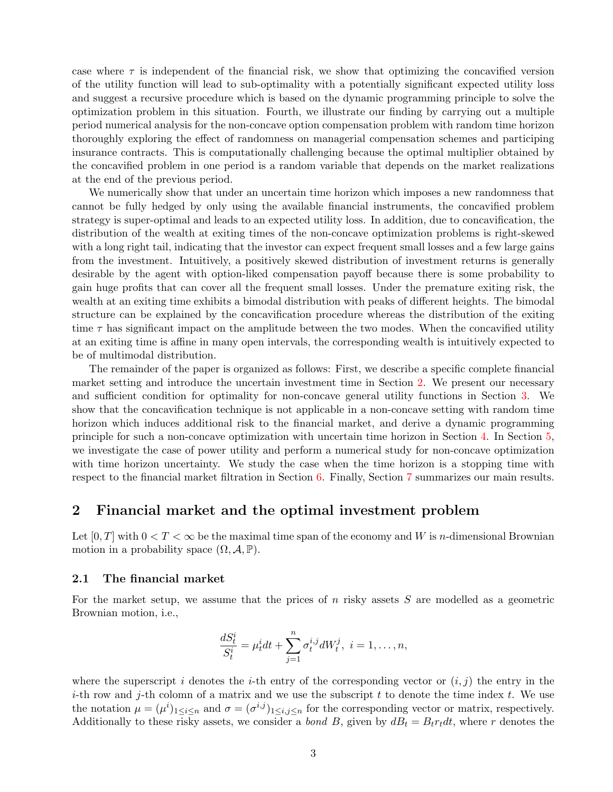case where  $\tau$  is independent of the financial risk, we show that optimizing the concavified version of the utility function will lead to sub-optimality with a potentially significant expected utility loss and suggest a recursive procedure which is based on the dynamic programming principle to solve the optimization problem in this situation. Fourth, we illustrate our finding by carrying out a multiple period numerical analysis for the non-concave option compensation problem with random time horizon thoroughly exploring the effect of randomness on managerial compensation schemes and participing insurance contracts. This is computationally challenging because the optimal multiplier obtained by the concavified problem in one period is a random variable that depends on the market realizations at the end of the previous period.

We numerically show that under an uncertain time horizon which imposes a new randomness that cannot be fully hedged by only using the available financial instruments, the concavified problem strategy is super-optimal and leads to an expected utility loss. In addition, due to concavification, the distribution of the wealth at exiting times of the non-concave optimization problems is right-skewed with a long right tail, indicating that the investor can expect frequent small losses and a few large gains from the investment. Intuitively, a positively skewed distribution of investment returns is generally desirable by the agent with option-liked compensation payoff because there is some probability to gain huge profits that can cover all the frequent small losses. Under the premature exiting risk, the wealth at an exiting time exhibits a bimodal distribution with peaks of different heights. The bimodal structure can be explained by the concavification procedure whereas the distribution of the exiting time  $\tau$  has significant impact on the amplitude between the two modes. When the concavified utility at an exiting time is affine in many open intervals, the corresponding wealth is intuitively expected to be of multimodal distribution.

The remainder of the paper is organized as follows: First, we describe a specific complete financial market setting and introduce the uncertain investment time in Section [2.](#page-2-0) We present our necessary and sufficient condition for optimality for non-concave general utility functions in Section [3.](#page-4-0) We show that the concavification technique is not applicable in a non-concave setting with random time horizon which induces additional risk to the financial market, and derive a dynamic programming principle for such a non-concave optimization with uncertain time horizon in Section [4.](#page-8-0) In Section [5,](#page-11-0) we investigate the case of power utility and perform a numerical study for non-concave optimization with time horizon uncertainty. We study the case when the time horizon is a stopping time with respect to the financial market filtration in Section [6.](#page-20-0) Finally, Section [7](#page-22-0) summarizes our main results.

## <span id="page-2-0"></span>2 Financial market and the optimal investment problem

Let  $[0, T]$  with  $0 < T < \infty$  be the maximal time span of the economy and W is *n*-dimensional Brownian motion in a probability space  $(\Omega, \mathcal{A}, \mathbb{P})$ .

#### 2.1 The financial market

For the market setup, we assume that the prices of  $n$  risky assets  $S$  are modelled as a geometric Brownian motion, i.e.,

$$
\frac{dS_t^i}{S_t^i} = \mu_t^i dt + \sum_{j=1}^n \sigma_t^{i,j} dW_t^j, \ i = 1, \dots, n,
$$

where the superscript i denotes the i-th entry of the corresponding vector or  $(i, j)$  the entry in the i-th row and j-th colomn of a matrix and we use the subscript t to denote the time index t. We use the notation  $\mu = (\mu^i)_{1 \le i \le n}$  and  $\sigma = (\sigma^{i,j})_{1 \le i,j \le n}$  for the corresponding vector or matrix, respectively. Additionally to these risky assets, we consider a *bond B*, given by  $dB_t = B_t r_t dt$ , where r denotes the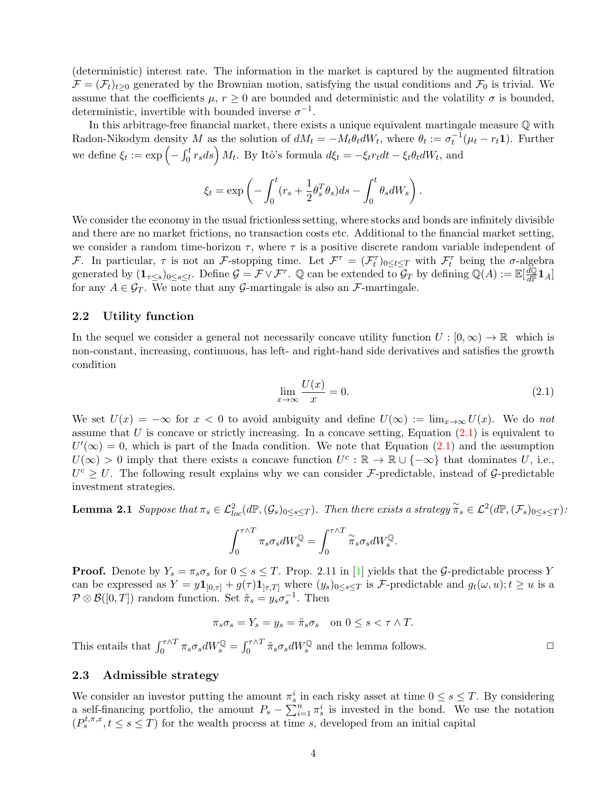(deterministic) interest rate. The information in the market is captured by the augmented filtration  $\mathcal{F} = (\mathcal{F}_t)_{t>0}$  generated by the Brownian motion, satisfying the usual conditions and  $\mathcal{F}_0$  is trivial. We assume that the coefficients  $\mu$ ,  $r \geq 0$  are bounded and deterministic and the volatility  $\sigma$  is bounded, deterministic, invertible with bounded inverse  $\sigma^{-1}$ .

In this arbitrage-free financial market, there exists a unique equivalent martingale measure Q with Radon-Nikodym density M as the solution of  $dM_t = -M_t \theta_t dW_t$ , where  $\theta_t := \sigma_t^{-1}(\mu_t - r_t \mathbf{1})$ . Further we define  $\xi_t := \exp\left(-\int_0^t r_s ds\right) M_t$ . By Itô's formula  $d\xi_t = -\xi_t r_t dt - \xi_t \theta_t dW_t$ , and

$$
\xi_t = \exp\left(-\int_0^t (r_s + \frac{1}{2}\theta_s^T \theta_s) ds - \int_0^t \theta_s dW_s\right).
$$

We consider the economy in the usual frictionless setting, where stocks and bonds are infinitely divisible and there are no market frictions, no transaction costs etc. Additional to the financial market setting, we consider a random time-horizon  $\tau$ , where  $\tau$  is a positive discrete random variable independent of *F*. In particular,  $\tau$  is not an *F*-stopping time. Let  $\mathcal{F}^{\tau} = (\mathcal{F}^{\tau}_t)_{0 \leq t \leq T}$  with  $\mathcal{F}^{\tau}_t$  being the  $\sigma$ -algebra generated by  $(\mathbf{1}_{\tau \leq s})_{0 \leq s \leq t}$ . Define  $\mathcal{G} = \mathcal{F} \vee \mathcal{F}^{\tau}$ . Q can be extended to  $\mathcal{G}_T$  by defining  $\mathbb{Q}(A) := \mathbb{E}[\frac{d\mathbb{Q}}{d\mathbb{P}}]$  $\frac{d\mathbb{Q}}{d\mathbb{P}}\mathbf{1}_A]$ for any  $A \in \mathcal{G}_T$ . We note that any  $\mathcal{G}_T$ -martingale is also an  $\mathcal{F}_T$ -martingale.

#### 2.2 Utility function

In the sequel we consider a general not necessarily concave utility function  $U : [0, \infty) \to \mathbb{R}$  which is non-constant, increasing, continuous, has left- and right-hand side derivatives and satisfies the growth condition

<span id="page-3-0"></span>
$$
\lim_{x \to \infty} \frac{U(x)}{x} = 0. \tag{2.1}
$$

We set  $U(x) = -\infty$  for  $x < 0$  to avoid ambiguity and define  $U(\infty) := \lim_{x \to \infty} U(x)$ . We do not assume that  $U$  is concave or strictly increasing. In a concave setting, Equation  $(2.1)$  is equivalent to  $U'(\infty) = 0$ , which is part of the Inada condition. We note that Equation [\(2.1\)](#page-3-0) and the assumption  $U(\infty) > 0$  imply that there exists a concave function  $U^c : \mathbb{R} \to \mathbb{R} \cup \{-\infty\}$  that dominates U, i.e.,  $U^c \geq U$ . The following result explains why we can consider *F*-predictable, instead of *G*-predictable investment strategies.

**Lemma 2.1** Suppose that  $\pi_s \in \mathcal{L}_{loc}^2(d\mathbb{P}, (\mathcal{G}_s)_{0 \leq s \leq T})$ . Then there exists a strategy  $\widetilde{\pi}_s \in \mathcal{L}^2(d\mathbb{P}, (\mathcal{F}_s)_{0 \leq s \leq T})$ :

<span id="page-3-1"></span>
$$
\int_0^{\tau \wedge T} \pi_s \sigma_s dW_s^{\mathbb{Q}} = \int_0^{\tau \wedge T} \widetilde{\pi}_s \sigma_s dW_s^{\mathbb{Q}}.
$$

**Proof.** Denote by  $Y_s = \pi_s \sigma_s$  for  $0 \le s \le T$ . Prop. 2.11 in [\[1\]](#page-23-12) yields that the G-predictable process Y can be expressed as  $Y = y\mathbf{1}_{[0,\tau]} + g(\tau)\mathbf{1}_{[\tau,T]}$  where  $(y_s)_{0 \leq s \leq T}$  is F-predictable and  $g_t(\omega, u); t \geq u$  is a  $\mathcal{P} \otimes \mathcal{B}([0,T])$  random function. Set  $\tilde{\pi}_s = y_s \sigma_s^{-1}$ . Then

$$
\pi_s \sigma_s = Y_s = y_s = \tilde{\pi}_s \sigma_s \quad \text{on } 0 \le s < \tau \wedge T.
$$

This entails that  $\int_0^{\tau \wedge T} \pi_s \sigma_s dW_s^{\mathbb{Q}} = \int_0^{\tau \wedge T} \tilde{\pi}_s \sigma_s dW_s^{\mathbb{Q}}$  and the lemma follows.

#### 2.3 Admissible strategy

We consider an investor putting the amount  $\pi_s^i$  in each risky asset at time  $0 \le s \le T$ . By considering a self-financing portfolio, the amount  $P_s - \sum_{i=1}^n \pi_s^i$  is invested in the bond. We use the notation  $(P_s^{t,\pi,x}, t \leq s \leq T)$  for the wealth process at time s, developed from an initial capital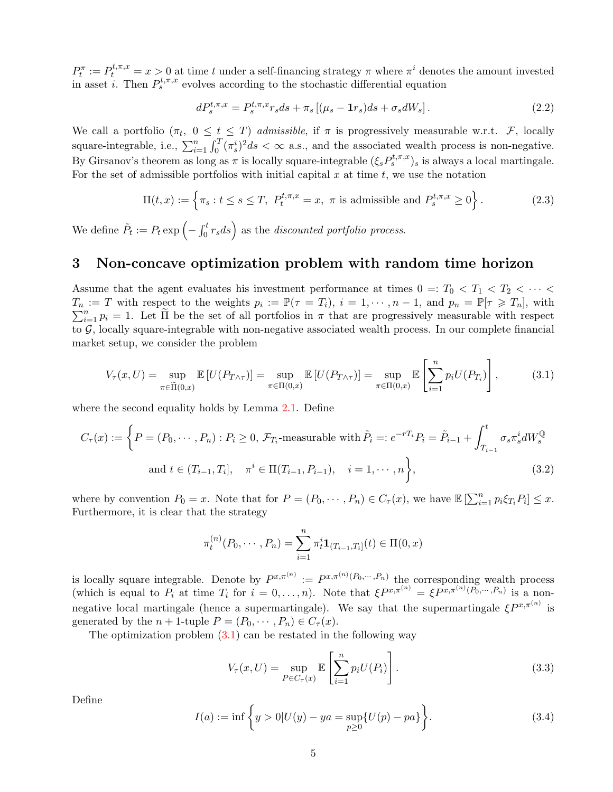$P_t^{\pi} := P_t^{t,\pi,x} = x > 0$  at time t under a self-financing strategy  $\pi$  where  $\pi^i$  denotes the amount invested in asset *i*. Then  $P_s^{t,\pi,x}$  evolves according to the stochastic differential equation

$$
dP_s^{t,\pi,x} = P_s^{t,\pi,x} r_s ds + \pi_s \left[ (\mu_s - \mathbf{1}r_s) ds + \sigma_s dW_s \right]. \tag{2.2}
$$

We call a portfolio  $(\pi_t, 0 \le t \le T)$  admissible, if  $\pi$  is progressively measurable w.r.t. F, locally square-integrable, i.e.,  $\sum_{i=1}^{n} \int_{0}^{T} (\pi_s^i)^2 ds < \infty$  a.s., and the associated wealth process is non-negative. By Girsanov's theorem as long as  $\pi$  is locally square-integrable  $(\xi_s P_s^{t,\pi,x})_s$  is always a local martingale. For the set of admissible portfolios with initial capital  $x$  at time  $t$ , we use the notation

$$
\Pi(t,x) := \left\{ \pi_s : t \le s \le T, \ P_t^{t,\pi,x} = x, \ \pi \text{ is admissible and } P_s^{t,\pi,x} \ge 0 \right\}. \tag{2.3}
$$

We define  $\tilde{P}_t := P_t \exp\left(-\int_0^t r_s ds\right)$  as the discounted portfolio process.

## <span id="page-4-0"></span>3 Non-concave optimization problem with random time horizon

Assume that the agent evaluates his investment performance at times  $0 =: T_0 < T_1 < T_2 < \cdots <$  $T_n := T$  with respect to the weights  $p_i := \mathbb{P}(\tau = T_i)$ ,  $i = 1, \dots, n-1$ , and  $p_n = \mathbb{P}[\tau \geq T_n]$ , with  $\sum_{i=1}^n p_i = 1$ . Let  $\tilde{\Pi}$  be the set of all portfolios in  $\pi$  that are progressively measurable with respect to  $G$ , locally square-integrable with non-negative associated wealth process. In our complete financial market setup, we consider the problem

$$
V_{\tau}(x,U) = \sup_{\pi \in \widetilde{\Pi}(0,x)} \mathbb{E}\left[U(P_{T \wedge \tau})\right] = \sup_{\pi \in \Pi(0,x)} \mathbb{E}\left[U(P_{T \wedge \tau})\right] = \sup_{\pi \in \Pi(0,x)} \mathbb{E}\left[\sum_{i=1}^{n} p_i U(P_{T_i})\right],\tag{3.1}
$$

where the second equality holds by Lemma [2.1.](#page-3-1) Define

$$
C_{\tau}(x) := \left\{ P = (P_0, \dots, P_n) : P_i \ge 0, \, \mathcal{F}_{T_i}\text{-measurable with } \tilde{P}_i =: e^{-rT_i} P_i = \tilde{P}_{i-1} + \int_{T_{i-1}}^t \sigma_s \pi_s^i dW_s^{\mathbb{Q}} \text{ and } t \in (T_{i-1}, T_i], \quad \pi^i \in \Pi(T_{i-1}, P_{i-1}), \quad i = 1, \dots, n \right\},\tag{3.2}
$$

where by convention  $P_0 = x$ . Note that for  $P = (P_0, \dots, P_n) \in C_{\tau}(x)$ , we have  $\mathbb{E} \left[ \sum_{i=1}^n p_i \xi_{T_i} P_i \right] \leq x$ . Furthermore, it is clear that the strategy

<span id="page-4-1"></span>
$$
\pi_t^{(n)}(P_0, \cdots, P_n) = \sum_{i=1}^n \pi_t^i \mathbf{1}_{(T_{i-1}, T_i]}(t) \in \Pi(0, x)
$$

is locally square integrable. Denote by  $P^{x,\pi^{(n)}} := P^{x,\pi^{(n)}(P_0,\dots,P_n)}$  the corresponding wealth process (which is equal to  $P_i$  at time  $T_i$  for  $i = 0, \ldots, n$ ). Note that  $\xi P^{x, \pi^{(n)}} = \xi P^{x, \pi^{(n)}(P_0, \cdots, P_n)}$  is a nonnegative local martingale (hence a supermartingale). We say that the supermartingale  $\xi P^{x,\pi^{(n)}}$  is generated by the  $n + 1$ -tuple  $P = (P_0, \dots, P_n) \in C_{\tau}(x)$ .

The optimization problem  $(3.1)$  can be restated in the following way

<span id="page-4-2"></span>
$$
V_{\tau}(x,U) = \sup_{P \in C_{\tau}(x)} \mathbb{E}\left[\sum_{i=1}^{n} p_i U(P_i)\right].
$$
\n(3.3)

Define

<span id="page-4-3"></span>
$$
I(a) := \inf \left\{ y > 0 | U(y) - ya = \sup_{p \ge 0} \{ U(p) - pa \} \right\}.
$$
 (3.4)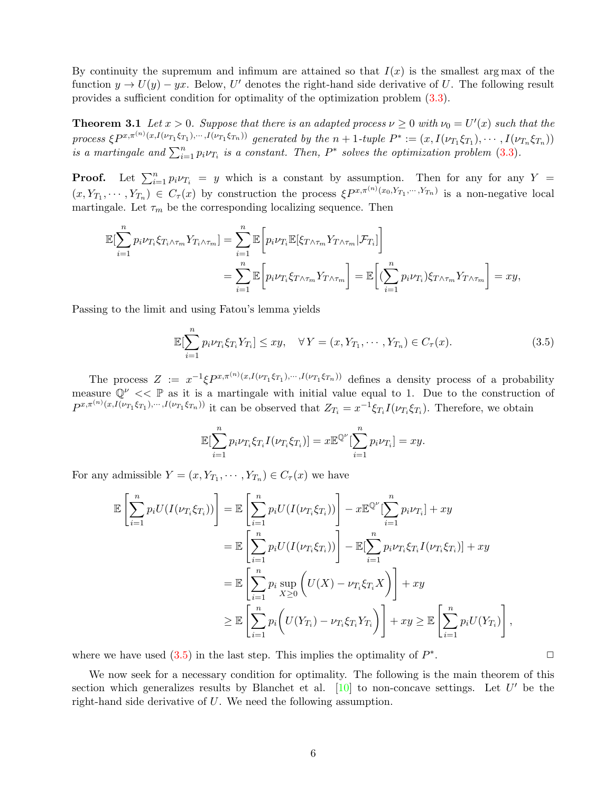By continuity the supremum and infimum are attained so that  $I(x)$  is the smallest arg max of the function  $y \to U(y) - yx$ . Below, U' denotes the right-hand side derivative of U. The following result provides a sufficient condition for optimality of the optimization problem [\(3.3\)](#page-4-2).

<span id="page-5-2"></span>**Theorem 3.1** Let  $x > 0$ . Suppose that there is an adapted process  $\nu \geq 0$  with  $\nu_0 = U'(x)$  such that the process  $\xi P^{x,\pi^{(n)}(x,I(\nu_{T_1}\xi_{T_1}),\cdots,I(\nu_{T_1}\xi_{T_n}))}$  generated by the  $n+1$ -tuple  $P^* := (x, I(\nu_{T_1}\xi_{T_1}), \cdots, I(\nu_{T_n}\xi_{T_n}))$ is a martingale and  $\sum_{i=1}^{n} p_i \nu_{T_i}$  is a constant. Then,  $P^*$  solves the optimization problem [\(3.3\)](#page-4-2).

**Proof.** Let  $\sum_{i=1}^{n} p_i v_{T_i} = y$  which is a constant by assumption. Then for any for any Y =  $(x, Y_{T_1}, \cdots, Y_{T_n}) \in C_{\tau}(x)$  by construction the process  $\xi P^{x, \pi^{(n)}(x_0, Y_{T_1}, \cdots, Y_{T_n})}$  is a non-negative local martingale. Let  $\tau_m$  be the corresponding localizing sequence. Then

$$
\mathbb{E}[\sum_{i=1}^{n} p_i \nu_{T_i} \xi_{T_i \wedge \tau_m} Y_{T_i \wedge \tau_m}] = \sum_{i=1}^{n} \mathbb{E}\bigg[p_i \nu_{T_i} \mathbb{E}[\xi_{T \wedge \tau_m} Y_{T \wedge \tau_m} | \mathcal{F}_{T_i}]\bigg]
$$
  

$$
= \sum_{i=1}^{n} \mathbb{E}\bigg[p_i \nu_{T_i} \xi_{T \wedge \tau_m} Y_{T \wedge \tau_m}\bigg] = \mathbb{E}\bigg[\big(\sum_{i=1}^{n} p_i \nu_{T_i}\big) \xi_{T \wedge \tau_m} Y_{T \wedge \tau_m}\bigg] = xy,
$$

Passing to the limit and using Fatou's lemma yields

$$
\mathbb{E}[\sum_{i=1}^{n} p_i \nu_{T_i} \xi_{T_i} Y_{T_i}] \le xy, \quad \forall Y = (x, Y_{T_1}, \cdots, Y_{T_n}) \in C_{\tau}(x).
$$
 (3.5)

The process  $Z := x^{-1} \xi P^{x, \pi^{(n)}(x, I(\nu_{T_1} \xi_{T_1}), \cdots, I(\nu_{T_1} \xi_{T_n}))}$  defines a density process of a probability measure  $\mathbb{Q}^{\nu} \ll \mathbb{P}$  as it is a martingale with initial value equal to 1. Due to the construction of  $P^{x,\pi^{(n)}(x,I(\nu_{T_1}\xi_{T_1}),\cdots,I(\nu_{T_1}\xi_{T_n}))}$  it can be observed that  $Z_{T_i} = x^{-1}\xi_{T_i}I(\nu_{T_i}\xi_{T_i})$ . Therefore, we obtain

$$
\mathbb{E}[\sum_{i=1}^n p_i \nu_{T_i} \xi_{T_i} I(\nu_{T_i} \xi_{T_i})] = x \mathbb{E}^{\mathbb{Q}^{\nu}}[\sum_{i=1}^n p_i \nu_{T_i}] = xy.
$$

For any admissible  $Y = (x, Y_{T_1}, \dots, Y_{T_n}) \in C_{\tau}(x)$  we have

$$
\mathbb{E}\left[\sum_{i=1}^{n}p_{i}U(I(\nu_{T_{i}}\xi_{T_{i}}))\right] = \mathbb{E}\left[\sum_{i=1}^{n}p_{i}U(I(\nu_{T_{i}}\xi_{T_{i}}))\right] - x\mathbb{E}^{\mathbb{Q}^{\nu}}[\sum_{i=1}^{n}p_{i}\nu_{T_{i}}] + xy
$$
\n
$$
= \mathbb{E}\left[\sum_{i=1}^{n}p_{i}U(I(\nu_{T_{i}}\xi_{T_{i}}))\right] - \mathbb{E}[\sum_{i=1}^{n}p_{i}\nu_{T_{i}}\xi_{T_{i}}I(\nu_{T_{i}}\xi_{T_{i}})] + xy
$$
\n
$$
= \mathbb{E}\left[\sum_{i=1}^{n}p_{i}\sup_{X\geq0}\left(U(X) - \nu_{T_{i}}\xi_{T_{i}}X\right)\right] + xy
$$
\n
$$
\geq \mathbb{E}\left[\sum_{i=1}^{n}p_{i}\left(U(Y_{T_{i}}) - \nu_{T_{i}}\xi_{T_{i}}Y_{T_{i}}\right)\right] + xy \geq \mathbb{E}\left[\sum_{i=1}^{n}p_{i}U(Y_{T_{i}})\right],
$$

where we have used  $(3.5)$  in the last step. This implies the optimality of  $P^*$ 

<span id="page-5-1"></span>We now seek for a necessary condition for optimality. The following is the main theorem of this section which generalizes results by Blanchet et al.  $[10]$  to non-concave settings. Let  $U'$  be the right-hand side derivative of U. We need the following assumption.

<span id="page-5-0"></span>.  $\Box$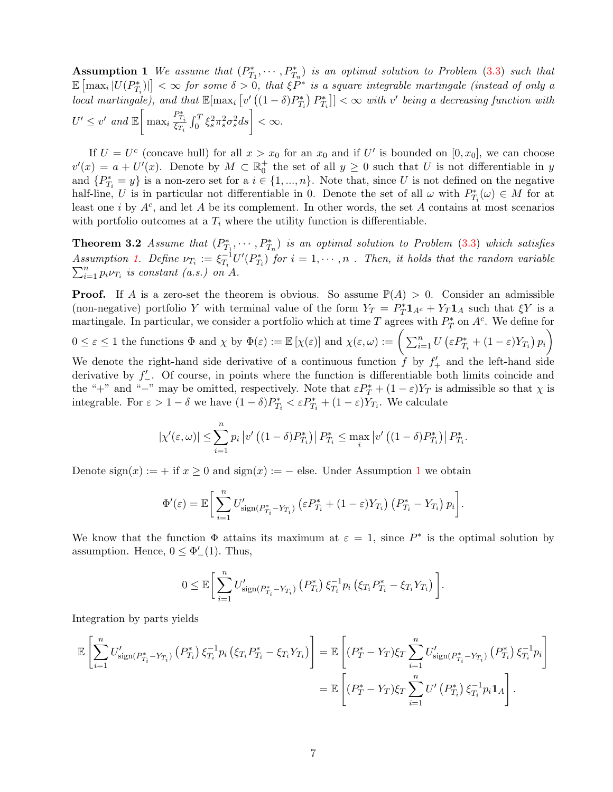**Assumption 1** We assume that  $(P_{T_1}^*, \dots, P_{T_n}^*)$  is an optimal solution to Problem [\(3.3\)](#page-4-2) such that  $\mathbb{E}\left[\max_i |U(P^*_{T_i})|\right]<\infty$  for some  $\delta>0$ , that  $\xi P^*$  is a square integrable martingale (instead of only a  $local \text{ } martingale$ ), and that  $\mathbb{E}[\max_i \left[ v'_\perp((1-\delta)P_{T_i}^*)\ P_{T_i}^* \right]] < \infty \text{ } with \text{ } v' \text{ } being \text{ } a \text{ } decreasing \text{ } function \text{ } with$  $U' \leq v'$  and  $\mathbb{E} \bigg[ \max_i \frac{P_{T_i}^*}{\xi_{T_i}} \int_0^T \xi_s^2 \pi_s^2 \sigma_s^2 ds \bigg] < \infty.$ 

If  $U = U^c$  (concave hull) for all  $x > x_0$  for an  $x_0$  and if U' is bounded on  $[0, x_0]$ , we can choose  $v'(x) = a + U'(x)$ . Denote by  $M \subset \mathbb{R}_0^+$  the set of all  $y \ge 0$  such that U is not differentiable in y and  $\{P_{T_i}^* = y\}$  is a non-zero set for a  $i \in \{1, ..., n\}$ . Note that, since U is not defined on the negative half-line, U is in particular not differentiable in 0. Denote the set of all  $\omega$  with  $P_{T_i}^*(\omega) \in M$  for at least one *i* by  $A<sup>c</sup>$ , and let A be its complement. In other words, the set A contains at most scenarios with portfolio outcomes at a  $T_i$  where the utility function is differentiable.

**Theorem 3.2** Assume that  $(P_{T_1}^*, \dots, P_{T_n}^*)$  is an optimal solution to Problem [\(3.3\)](#page-4-2) which satisfies Assumption [1.](#page-5-1) Define  $\nu_{T_i} := \xi_{T_i}^{-1}$  $T_{T_i}^{-1}U'(P_{T_i}^*)$  for  $i=1,\cdots,n$  . Then, it holds that the random variable Assumption 1. Define  $\nu_{T_i} = \varsigma_{T_i} \circ \tau_{T_i}$ <br> $\sum_{i=1}^n p_i \nu_{T_i}$  is constant (a.s.) on A.

**Proof.** If A is a zero-set the theorem is obvious. So assume  $\mathbb{P}(A) > 0$ . Consider an admissible (non-negative) portfolio Y with terminal value of the form  $Y_T = P_T^* \mathbf{1}_{A^c} + Y_T \mathbf{1}_{A}$  such that  $\xi Y$  is a martingale. In particular, we consider a portfolio which at time T agrees with  $P_T^*$  on  $A^c$ . We define for

$$
0 \le \varepsilon \le 1
$$
 the functions  $\Phi$  and  $\chi$  by  $\Phi(\varepsilon) := \mathbb{E}[\chi(\varepsilon)]$  and  $\chi(\varepsilon, \omega) := \left(\sum_{i=1}^n U\left(\varepsilon P_{T_i}^* + (1-\varepsilon)Y_{T_i}\right)p_i\right)$ 

We denote the right-hand side derivative of a continuous function  $\hat{f}$  by  $f'_{+}$  and the left-hand side derivative by  $f'_{-}$ . Of course, in points where the function is differentiable both limits coincide and the "+" and "-" may be omitted, respectively. Note that  $\varepsilon P_T^* + (1 - \varepsilon)Y_T$  is admissible so that  $\chi$  is integrable. For  $\varepsilon > 1 - \delta$  we have  $(1 - \delta)P_{T_i}^* < \varepsilon P_{T_i}^* + (1 - \varepsilon)Y_{T_i}$ . We calculate

<span id="page-6-0"></span>
$$
|\chi'(\varepsilon,\omega)| \leq \sum_{i=1}^n p_i |v'((1-\delta)P_{T_i}^*)| P_{T_i}^* \leq \max_i |v'((1-\delta)P_{T_i}^*)| P_{T_i}^*.
$$

Denote  $sign(x) := +$  if  $x \ge 0$  and  $sign(x) := -$  else. Under Assumption [1](#page-5-1) we obtain

$$
\Phi'(\varepsilon) = \mathbb{E}\bigg[\sum_{i=1}^n U'_{\text{sign}(P^*_{T_i} - Y_{T_i})} \left(\varepsilon P^*_{T_i} + (1-\varepsilon)Y_{T_i}\right) \left(P^*_{T_i} - Y_{T_i}\right) p_i\bigg].
$$

We know that the function  $\Phi$  attains its maximum at  $\varepsilon = 1$ , since  $P^*$  is the optimal solution by assumption. Hence,  $0 \leq \Phi_{-}'(1)$ . Thus,

$$
0 \leq \mathbb{E}\bigg[\sum_{i=1}^n U'_{\text{sign}(P^*_{T_i}-Y_{T_i})}\left(P^*_{T_i}\right)\xi_{T_i}^{-1}p_i\left(\xi_{T_i}P^*_{T_i}-\xi_{T_i}Y_{T_i}\right)\bigg].
$$

Integration by parts yields

$$
\mathbb{E}\left[\sum_{i=1}^{n}U'_{\text{sign}(P_{T_i}^* - Y_{T_i})}\left(P_{T_i}^*\right)\xi_{T_i}^{-1}p_i\left(\xi_{T_i}P_{T_i}^* - \xi_{T_i}Y_{T_i}\right)\right] = \mathbb{E}\left[(P_T^* - Y_T)\xi_T\sum_{i=1}^{n}U'_{\text{sign}(P_{T_i}^* - Y_{T_i})}\left(P_{T_i}^*\right)\xi_{T_i}^{-1}p_i\right]
$$
\n
$$
= \mathbb{E}\left[(P_T^* - Y_T)\xi_T\sum_{i=1}^{n}U'\left(P_{T_i}^*\right)\xi_{T_i}^{-1}p_i\mathbf{1}_A\right].
$$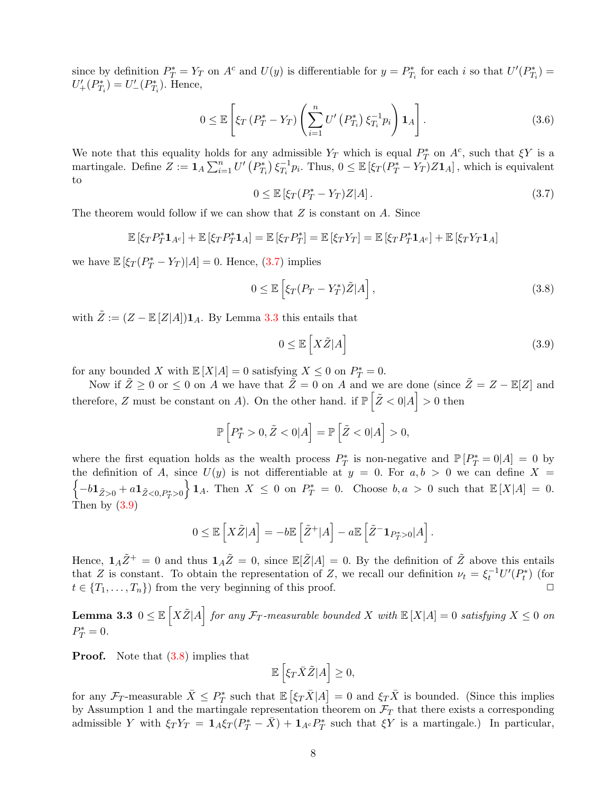since by definition  $P_T^* = Y_T$  on  $A^c$  and  $U(y)$  is differentiable for  $y = P_{T_i}^*$  for each i so that  $U'(P_{T_i}^*) =$  $U'_{+}(P_{T_i}^*) = U'_{-}(P_{T_i}^*)$ . Hence,

$$
0 \leq \mathbb{E}\left[\xi_T\left(P_T^* - Y_T\right)\left(\sum_{i=1}^n U'\left(P_{T_i}^*\right)\xi_{T_i}^{-1}p_i\right)\mathbf{1}_A\right].\tag{3.6}
$$

We note that this equality holds for any admissible  $Y_T$  which is equal  $P_T^*$  on  $A^c$ , such that  $\xi Y$  is a martingale. Define  $Z := \mathbf{1}_A \sum_{i=1}^n U' (P_{T_i}^*) \xi_{T_i}^{-1}$  $T_i^{-1}p_i$ . Thus,  $0 \leq \mathbb{E} \left[ \xi_T (P_T^* - Y_T) Z \mathbf{1}_A \right]$ , which is equivalent to

<span id="page-7-0"></span>
$$
0 \le \mathbb{E}\left[\xi_T(P_T^* - Y_T)Z|A\right].\tag{3.7}
$$

The theorem would follow if we can show that Z is constant on A. Since

$$
\mathbb{E} [\xi_T P_T^* \mathbf{1}_{A^c}] + \mathbb{E} [\xi_T P_T^* \mathbf{1}_A] = \mathbb{E} [\xi_T P_T^*] = \mathbb{E} [\xi_T Y_T] = \mathbb{E} [\xi_T P_T^* \mathbf{1}_{A^c}] + \mathbb{E} [\xi_T Y_T \mathbf{1}_A]
$$

we have  $\mathbb{E} \left[ \xi_T (P_T^* - Y_T) | A \right] = 0$ . Hence, [\(3.7\)](#page-7-0) implies

<span id="page-7-3"></span>
$$
0 \le \mathbb{E}\left[\xi_T(P_T - Y_T^*)\tilde{Z}|A\right],\tag{3.8}
$$

with  $\tilde{Z} := (Z - \mathbb{E}[Z|A])\mathbf{1}_A$ . By Lemma [3.3](#page-7-1) this entails that

<span id="page-7-2"></span>
$$
0 \le \mathbb{E}\left[X\tilde{Z}|A\right] \tag{3.9}
$$

for any bounded X with  $\mathbb{E}[X|A] = 0$  satisfying  $X \leq 0$  on  $P_T^* = 0$ .

Now if  $\tilde{Z} \ge 0$  or  $\le 0$  on A we have that  $\tilde{Z} = 0$  on A and we are done (since  $\tilde{Z} = Z - \mathbb{E}[Z]$  and therefore, Z must be constant on A). On the other hand. if  $\mathbb{P}(\tilde{Z} < 0|A] > 0$  then

$$
\mathbb{P}\left[P_T^* > 0, \tilde{Z} < 0 | A\right] = \mathbb{P}\left[\tilde{Z} < 0 | A\right] > 0,
$$

where the first equation holds as the wealth process  $P_T^*$  is non-negative and  $\mathbb{P}[P_T^* = 0|A] = 0$  by  $\left\{-b {{\mathbf 1}}_{\tilde Z>0} + a {{\mathbf 1}}_{\tilde Z<0,P_T^*>0}\right.$ the definition of A, since  $U(y)$  is not differentiable at  $y = 0$ . For  $a, b > 0$  we can define  $X =$  $\{1_A. \text{ Then } X \leq 0 \text{ on } P_T^* = 0. \text{ Choose } b, a > 0 \text{ such that } \mathbb{E}[X|A] = 0.$ Then by  $(3.9)$ 

$$
0 \leq \mathbb{E}\left[X\tilde{Z}|A\right] = -b\mathbb{E}\left[\tilde{Z}^+|A\right] - a\mathbb{E}\left[\tilde{Z}^- \mathbf{1}_{P_T^*>0}|A\right].
$$

Hence,  $\mathbf{1}_A\tilde{Z}^+=0$  and thus  $\mathbf{1}_A\tilde{Z}^-=0$ , since  $\mathbb{E}[\tilde{Z}|A]=0$ . By the definition of  $\tilde{Z}$  above this entails that Z is constant. To obtain the representation of Z, we recall our definition  $\nu_t = \xi_t^{-1} U'(P_t^*)$  (for  $t \in \{T_1, \ldots, T_n\}$  from the very beginning of this proof.

<span id="page-7-1"></span>**Lemma 3.3**  $0 \leq \mathbb{E}\left[X\tilde{Z}|A\right]$  for any  $\mathcal{F}_T$ -measurable bounded X with  $\mathbb{E}\left[X|A\right] = 0$  satisfying  $X \leq 0$  on  $P_T^* = 0.$ 

**Proof.** Note that  $(3.8)$  implies that

$$
\mathbb{E}\left[\xi_T\bar{X}\tilde{Z}|A\right] \geq 0,
$$

for any  $\mathcal{F}_T$ -measurable  $\bar{X} \leq P_T^*$  such that  $\mathbb{E} \left[ \xi_T \bar{X} | A \right] = 0$  and  $\xi_T \bar{X}$  is bounded. (Since this implies by Assumption 1 and the martingale representation theorem on  $\mathcal{F}_T$  that there exists a corresponding admissible Y with  $\xi_T Y_T = \mathbf{1}_A \xi_T (P_T^* - \bar{X}) + \mathbf{1}_{A^c} P_T^*$  such that  $\xi Y$  is a martingale.) In particular,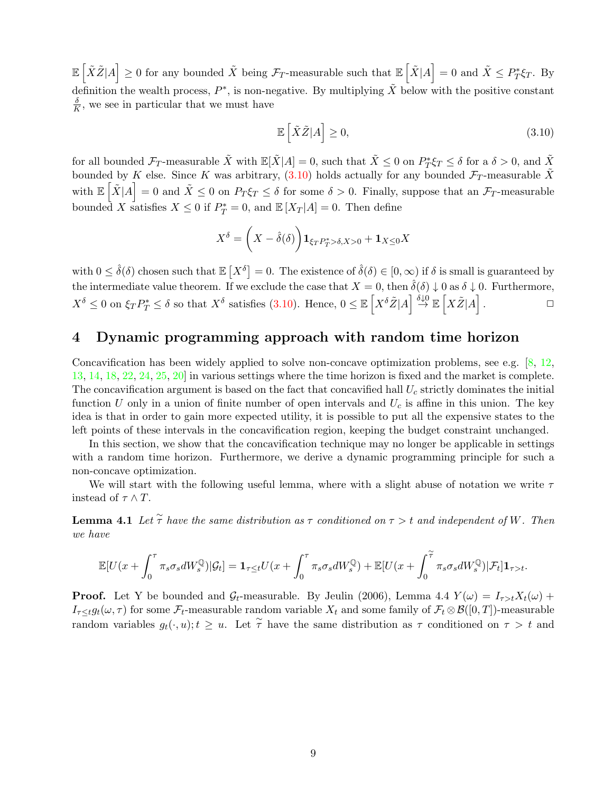$\mathbb{E} \left[ \tilde{X} \tilde{Z} | A \right] \geq 0$  for any bounded  $\tilde{X}$  being  $\mathcal{F}_T$ -measurable such that  $\mathbb{E} \left[ \tilde{X} | A \right] = 0$  and  $\tilde{X} \leq P_T^* \xi_T$ . By definition the wealth process,  $P^*$ , is non-negative. By multiplying  $\tilde{X}$  below with the positive constant δ  $\frac{\delta}{K}$ , we see in particular that we must have

<span id="page-8-1"></span>
$$
\mathbb{E}\left[\tilde{X}\tilde{Z}|A\right] \geq 0,\tag{3.10}
$$

for all bounded  $\mathcal{F}_T$ -measurable  $\tilde{X}$  with  $\mathbb{E}[\tilde{X}|A] = 0$ , such that  $\tilde{X} \leq 0$  on  $P^*_T \xi_T \leq \delta$  for a  $\delta > 0$ , and  $\tilde{X}$ bounded by K else. Since K was arbitrary, [\(3.10\)](#page-8-1) holds actually for any bounded  $\mathcal{F}_T$ -measurable  $\tilde{X}$ with  $\mathbb{E} \left[ \tilde{X} | A \right] = 0$  and  $\tilde{X} \leq 0$  on  $P_T \xi_T \leq \delta$  for some  $\delta > 0$ . Finally, suppose that an  $\mathcal{F}_T$ -measurable bounded X satisfies  $X \leq 0$  if  $P_T^* = 0$ , and  $\mathbb{E}[X_T|A] = 0$ . Then define

$$
X^{\delta} = \left(X - \hat{\delta}(\delta)\right) \mathbf{1}_{\xi_T P_T^* > \delta, X > 0} + \mathbf{1}_{X \le 0} X
$$

with  $0 \leq \hat{\delta}(\delta)$  chosen such that  $\mathbb{E}[X^{\delta}] = 0$ . The existence of  $\hat{\delta}(\delta) \in [0, \infty)$  if  $\delta$  is small is guaranteed by the intermediate value theorem. If we exclude the case that  $X = 0$ , then  $\hat{\delta}(\delta) \downarrow 0$  as  $\delta \downarrow 0$ . Furthermore,  $X^{\delta} \leq 0$  on  $\xi_T P_T^* \leq \delta$  so that  $X^{\delta}$  satisfies [\(3.10\)](#page-8-1). Hence,  $0 \leq \mathbb{E}\left[X^{\delta} \tilde{Z} | A\right] \stackrel{\delta \downarrow 0}{\rightarrow} \mathbb{E}\left[X \tilde{Z} | A\right]$ .  $\Box$ 

## <span id="page-8-0"></span>4 Dynamic programming approach with random time horizon

Concavification has been widely applied to solve non-concave optimization problems, see e.g.  $[8, 12,$  $[8, 12,$  $[8, 12,$ [13,](#page-23-4) [14,](#page-23-10) [18,](#page-24-4) [22,](#page-24-5) [24,](#page-24-6) [25,](#page-24-7) [20\]](#page-24-8) in various settings where the time horizon is fixed and the market is complete. The concavification argument is based on the fact that concavified hall  $U_c$  strictly dominates the initial function U only in a union of finite number of open intervals and  $U_c$  is affine in this union. The key idea is that in order to gain more expected utility, it is possible to put all the expensive states to the left points of these intervals in the concavification region, keeping the budget constraint unchanged.

In this section, we show that the concavification technique may no longer be applicable in settings with a random time horizon. Furthermore, we derive a dynamic programming principle for such a non-concave optimization.

We will start with the following useful lemma, where with a slight abuse of notation we write  $\tau$ instead of  $\tau \wedge T$ .

**Lemma 4.1** Let  $\widetilde{\tau}$  have the same distribution as  $\tau$  conditioned on  $\tau > t$  and independent of W. Then we have

$$
\mathbb{E}[U(x+\int_{0}^{\tau}\pi_{s}\sigma_{s}dW_{s}^{\mathbb{Q}})|\mathcal{G}_{t}]=\mathbf{1}_{\tau\leq t}U(x+\int_{0}^{\tau}\pi_{s}\sigma_{s}dW_{s}^{\mathbb{Q}})+\mathbb{E}[U(x+\int_{0}^{\widetilde{\tau}}\pi_{s}\sigma_{s}dW_{s}^{\mathbb{Q}})|\mathcal{F}_{t}]\mathbf{1}_{\tau>t}.
$$

**Proof.** Let Y be bounded and  $\mathcal{G}_t$ -measurable. By Jeulin (2006), Lemma 4.4  $Y(\omega) = I_{\tau>t}X_t(\omega) +$  $I_{\tau \leq t}g_t(\omega, \tau)$  for some  $\mathcal{F}_t$ -measurable random variable  $X_t$  and some family of  $\mathcal{F}_t \otimes \mathcal{B}([0, T])$ -measurable random variables  $g_t(\cdot, u); t \geq u$ . Let  $\tilde{\tau}$  have the same distribution as  $\tau$  conditioned on  $\tau > t$  and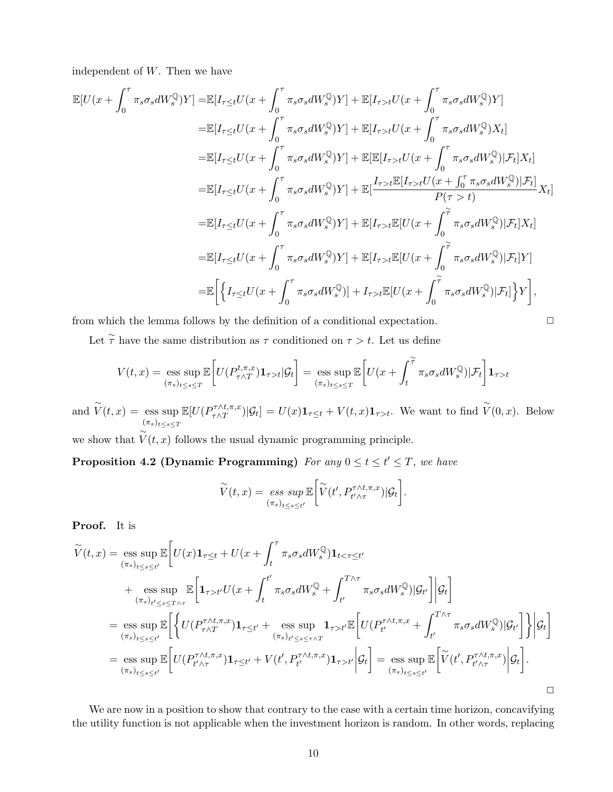independent of W. Then we have

$$
\mathbb{E}[U(x+\int_{0}^{\tau}\pi_{s}\sigma_{s}dW_{s}^{\mathbb{Q}})Y]=\mathbb{E}[I_{\tau\leq t}U(x+\int_{0}^{\tau}\pi_{s}\sigma_{s}dW_{s}^{\mathbb{Q}})Y]+\mathbb{E}[I_{\tau>t}U(x+\int_{0}^{\tau}\pi_{s}\sigma_{s}dW_{s}^{\mathbb{Q}})Y]
$$
\n
$$
=\mathbb{E}[I_{\tau\leq t}U(x+\int_{0}^{\tau}\pi_{s}\sigma_{s}dW_{s}^{\mathbb{Q}})Y]+\mathbb{E}[I_{\tau>t}U(x+\int_{0}^{\tau}\pi_{s}\sigma_{s}dW_{s}^{\mathbb{Q}})X_{t}]
$$
\n
$$
=\mathbb{E}[I_{\tau\leq t}U(x+\int_{0}^{\tau}\pi_{s}\sigma_{s}dW_{s}^{\mathbb{Q}})Y]+\mathbb{E}[\mathbb{E}[I_{\tau>t}U(x+\int_{0}^{\tau}\pi_{s}\sigma_{s}dW_{s}^{\mathbb{Q}})|\mathcal{F}_{t}]X_{t}]
$$
\n
$$
=\mathbb{E}[I_{\tau\leq t}U(x+\int_{0}^{\tau}\pi_{s}\sigma_{s}dW_{s}^{\mathbb{Q}})Y]+\mathbb{E}[\frac{I_{\tau>t}\mathbb{E}[I_{\tau>t}U(x+\int_{0}^{\tau}\pi_{s}\sigma_{s}dW_{s}^{\mathbb{Q}})|\mathcal{F}_{t}]}{P(\tau>t)}X_{t}]
$$
\n
$$
=\mathbb{E}[I_{\tau\leq t}U(x+\int_{0}^{\tau}\pi_{s}\sigma_{s}dW_{s}^{\mathbb{Q}})Y]+\mathbb{E}[I_{\tau>t}\mathbb{E}[U(x+\int_{0}^{\tau}\pi_{s}\sigma_{s}dW_{s}^{\mathbb{Q}})|\mathcal{F}_{t}]X_{t}]
$$
\n
$$
=\mathbb{E}[I_{\tau\leq t}U(x+\int_{0}^{\tau}\pi_{s}\sigma_{s}dW_{s}^{\mathbb{Q}})Y]+\mathbb{E}[I_{\tau>t}\mathbb{E}[U(x+\int_{0}^{\tau}\pi_{s}\sigma_{s}dW_{s}^{\mathbb{Q}})|\mathcal{F}_{t}]Y]
$$
\n
$$
=\mathbb{E}\Big[\Big\{I_{\tau\leq t}U
$$

from which the lemma follows by the definition of a conditional expectation.  $\Box$ 

Let  $\tilde{\tau}$  have the same distribution as  $\tau$  conditioned on  $\tau > t$ . Let us define

$$
V(t,x)=\mathop{\rm ess\;sup}_{(\pi_s)_{t\leq s\leq T}}\mathbb{E}\bigg[U(P^{t,\pi,x}_{\tau\wedge T})\mathbf{1}_{\tau>t}|\mathcal{G}_t\bigg]=\mathop{\rm ess\;sup}_{(\pi_s)_{t\leq s\leq T}}\mathbb{E}\bigg[U(x+\int_t^{\widetilde{\tau}}\pi_s\sigma_s dW^\mathbb{Q}_s)|\mathcal{F}_t\bigg]\mathbf{1}_{\tau>t}
$$

and  $\widetilde{V}(t,x) = \text{ess sup}$  $(\pi_s)_{t\leq s\leq T}$  $\mathbb{E}[U(P^{\tau \wedge t,\pi,x}_{\tau \wedge T}$  $\int_{\tau \wedge T}^{\tau \wedge t,\pi,x} |\mathcal{G}_t] = U(x) \mathbf{1}_{\tau \leq t} + V(t,x) \mathbf{1}_{\tau > t}$ . We want to find  $\widetilde{V}(0,x)$ . Below ∼

we show that  $V(t, x)$  follows the usual dynamic programming principle.

**Proposition 4.2 (Dynamic Programming)** For any  $0 \le t \le t' \le T$ , we have

$$
\widetilde{V}(t,x) = \operatorname*{ess\;sup}_{(\pi_s)_{t \le s \le t'}} \mathbb{E}\bigg[\widetilde{V}(t', P_{t'\wedge \tau}^{\tau \wedge t, \pi, x})|\mathcal{G}_t\bigg].
$$

Proof. It is

$$
\widetilde{V}(t,x) = \underset{(\pi_s)_{t \le s \le t'}}{\text{ess sup}} \mathbb{E} \Bigg[ U(x) \mathbf{1}_{\tau \le t} + U(x + \int_t^{\tau} \pi_s \sigma_s dW_s^{\mathbb{Q}}) \mathbf{1}_{t < \tau \le t'} + \underset{(\pi_s)_{t' \le s \le T \wedge \tau}}{\text{ess sup}} \mathbb{E} \Bigg[ \mathbf{1}_{\tau > t'} U(x + \int_t^{t'} \pi_s \sigma_s dW_s^{\mathbb{Q}} + \int_{t'}^{T \wedge \tau} \pi_s \sigma_s dW_s^{\mathbb{Q}}) |\mathcal{G}_{t'} \Bigg] |\mathcal{G}_{t} \Bigg]
$$
\n
$$
= \underset{(\pi_s)_{t \le s \le t'}}{\text{ess sup}} \mathbb{E} \Bigg[ \Bigg\{ U(P_{\tau \wedge T}^{\tau \wedge t, \pi, x}) \mathbf{1}_{\tau \le t'} + \underset{(\pi_s)_{t' \le s \le \tau \wedge T}}{\text{ess sup}} \mathbf{1}_{\tau > t'} \mathbb{E} \Bigg[ U(P_{t'}^{\tau \wedge t, \pi, x} + \int_{t'}^{T \wedge \tau} \pi_s \sigma_s dW_s^{\mathbb{Q}}) |\mathcal{G}_{t'} \Bigg] \Bigg\} \Bigg| \mathcal{G}_{t} \Bigg]
$$
\n
$$
= \underset{(\pi_s)_{t \le s \le t'}}{\text{ess sup}} \mathbb{E} \Bigg[ U(P_{t' \wedge \tau}^{\tau \wedge t, \pi, x}) \mathbf{1}_{\tau \le t'} + V(t', P_{t'}^{\tau \wedge t, \pi, x}) \mathbf{1}_{\tau > t'} \Big| \mathcal{G}_{t} \Bigg] = \underset{(\pi_s)_{t \le s \le t'}}{\text{ess sup}} \mathbb{E} \Bigg[ \widetilde{V}(t', P_{t' \wedge \tau}^{\tau \wedge t, \pi, x}) \Big| \mathcal{G}_{t} \Bigg].
$$

We are now in a position to show that contrary to the case with a certain time horizon, concavifying the utility function is not applicable when the investment horizon is random. In other words, replacing

<span id="page-9-0"></span>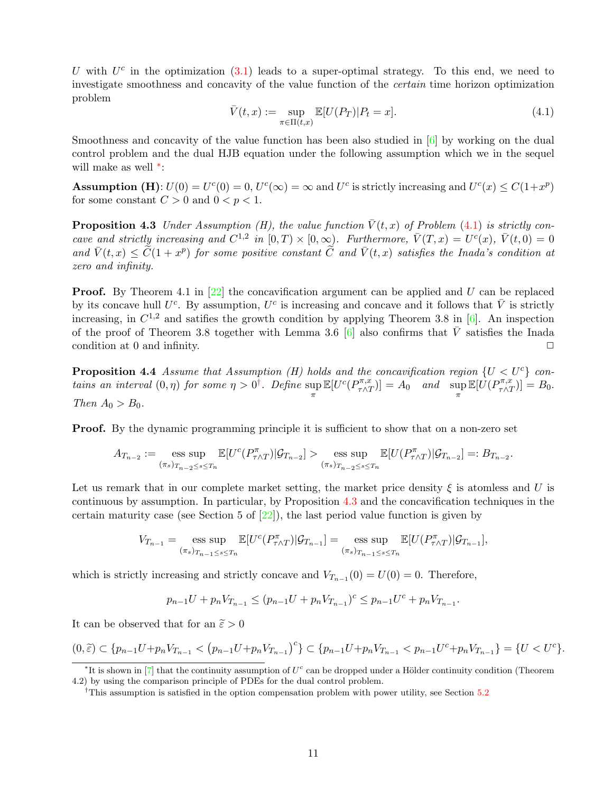U with  $U^c$  in the optimization  $(3.1)$  leads to a super-optimal strategy. To this end, we need to investigate smoothness and concavity of the value function of the certain time horizon optimization problem

<span id="page-10-1"></span>
$$
\bar{V}(t,x) := \sup_{\pi \in \Pi(t,x)} \mathbb{E}[U(P_T)|P_t = x].
$$
\n(4.1)

Smoothness and concavity of the value function has been also studied in  $[6]$  by working on the dual control problem and the dual HJB equation under the following assumption which we in the sequel will make as well <sup>\*</sup>:

**Assumption (H)**:  $U(0) = U^c(0) = 0$ ,  $U^c(\infty) = \infty$  and  $U^c$  is strictly increasing and  $U^c(x) \leq C(1+x^p)$ for some constant  $C > 0$  and  $0 < p < 1$ .

<span id="page-10-3"></span>**Proposition 4.3** Under Assumption (H), the value function  $\bar{V}(t, x)$  of Problem [\(4.1\)](#page-10-1) is strictly concave and strictly increasing and  $C^{1,2}$  in  $[0,T) \times [0,\infty)$ . Furthermore,  $\bar{V}(T,x) = U^c(x)$ ,  $\bar{V}(t,0) = 0$ and  $\bar{V}(t, x) \leq \tilde{C}(1+x^p)$  for some positive constant  $\tilde{C}$  and  $\bar{V}(t, x)$  satisfies the Inada's condition at zero and infinity.

**Proof.** By Theorem 4.1 in  $[22]$  the concavification argument can be applied and U can be replaced by its concave hull  $U^c$ . By assumption,  $U^c$  is increasing and concave and it follows that  $\bar{V}$  is strictly increasing, in  $C^{1,2}$  and satifies the growth condition by applying Theorem 3.8 in [\[6\]](#page-23-13). An inspection of the proof of Theorem 3.8 together with Lemma 3.6 [\[6\]](#page-23-13) also confirms that  $\overline{V}$  satisfies the Inada condition at 0 and infinity.  $\Box$ 

<span id="page-10-4"></span>**Proposition 4.4** Assume that Assumption (H) holds and the concavification region  $\{U < U^c\}$  contains an interval  $(0, \eta)$  for some  $\eta > 0^{\dagger}$ . Define sup π  $\mathbb{E}[U^c(P^{\pi,x}_{\tau \wedge T}$  $\left[\begin{matrix} \frac{\partial \pi}{\partial t} \\ \frac{\partial \pi}{\partial t} \end{matrix}\right] = A_0$  and sup  $\mathbb{E}[\stackrel{\cdot}{U}(P_{\tau}^{\pi,x}% ,\parallel P_{\tau}^{\pi,x}](P_{\tau,x}^{\pi,x}% ,\parallel P_{\tau,x}^{\pi,x}](P_{\tau,x}^{\pi,x}P_{\tau,x}^{\pi,x}P_{\tau,x}^{\pi,x}P_{\tau,x}^{\pi,x}P_{\tau,x}^{\pi,x}P_{\tau,x}^{\pi,x}P_{\tau,x}^{\pi,x}P_{\tau,x}^{\pi,x}P_{\tau,x}^{\pi,x}P_{\tau,x}^{\pi,x}P_{\tau,x}^{\pi,x}P_{\tau,x}^{\pi,x}P_{\tau,x}^{\pi,x}P_{\tau,x}^{\pi,x}P_{$  $\left[\nabla_{\tau \wedge T}^{\pi,x}\right] = B_0.$ Then  $A_0 > B_0$ .

**Proof.** By the dynamic programming principle it is sufficient to show that on a non-zero set

$$
A_{T_{n-2}} := \underset{(\pi_s)_{T_{n-2} \leq s \leq T_n}}{\text{ess sup }} \mathbb{E}[U^c(P_{\tau \wedge T}^{\pi}) | \mathcal{G}_{T_{n-2}}] > \underset{(\pi_s)_{T_{n-2} \leq s \leq T_n}}{\text{ess sup }} \mathbb{E}[U(P_{\tau \wedge T}^{\pi}) | \mathcal{G}_{T_{n-2}}] =: B_{T_{n-2}}.
$$

Let us remark that in our complete market setting, the market price density  $\xi$  is atomless and U is continuous by assumption. In particular, by Proposition [4.3](#page-10-3) and the concavification techniques in the certain maturity case (see Section 5 of  $[22]$ ), the last period value function is given by

$$
V_{T_{n-1}} = \underset{(\pi_s)_{T_{n-1} \leq s \leq T_n}}{\text{ess sup }} \mathbb{E}[U^c(P_{\tau \wedge T}^{\pi}) | \mathcal{G}_{T_{n-1}}] = \underset{(\pi_s)_{T_{n-1} \leq s \leq T_n}}{\text{ess sup }} \mathbb{E}[U(P_{\tau \wedge T}^{\pi}) | \mathcal{G}_{T_{n-1}}],
$$

which is strictly increasing and strictly concave and  $V_{T_{n-1}}(0) = U(0) = 0$ . Therefore,

$$
p_{n-1}U + p_n V_{T_{n-1}} \le (p_{n-1}U + p_n V_{T_{n-1}})^c \le p_{n-1}U^c + p_n V_{T_{n-1}}.
$$

It can be observed that for an  $\tilde{\varepsilon} > 0$ 

$$
(0,\tilde{\varepsilon}) \subset \{p_{n-1}U + p_nV_{T_{n-1}} < (p_{n-1}U + p_nV_{T_{n-1}})^c\} \subset \{p_{n-1}U + p_nV_{T_{n-1}} < p_{n-1}U^c + p_nV_{T_{n-1}}\} = \{U < U^c\}.
$$

<span id="page-10-0"></span><sup>\*</sup>It is shown in [\[7\]](#page-23-14) that the continuity assumption of  $U<sup>c</sup>$  can be dropped under a Hölder continuity condition (Theorem 4.2) by using the comparison principle of PDEs for the dual control problem.

<span id="page-10-2"></span><sup>&</sup>lt;sup>†</sup>This assumption is satisfied in the option compensation problem with power utility, see Section [5.2](#page-12-0)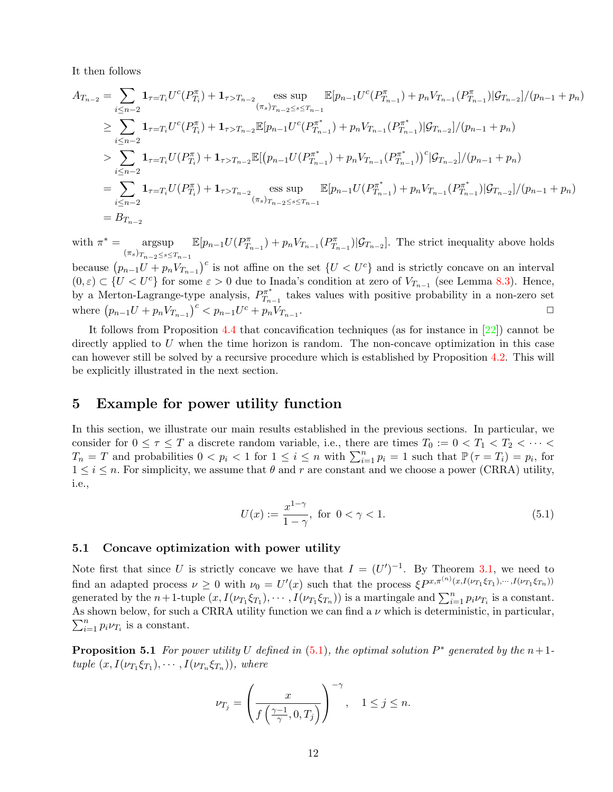It then follows

$$
A_{T_{n-2}} = \sum_{i \leq n-2} \mathbf{1}_{\tau=T_i} U^c(P_{T_i}^{\pi}) + \mathbf{1}_{\tau>T_{n-2}} \underset{(\pi_s)_{T_{n-2} \leq s \leq T_{n-1}}{\text{ess sup}} \mathbb{E}[p_{n-1} U^c(P_{T_{n-1}}^{\pi}) + p_n V_{T_{n-1}}(P_{T_{n-1}}^{\pi}) | \mathcal{G}_{T_{n-2}}]/(p_{n-1} + p_n)
$$
  
\n
$$
\geq \sum_{i \leq n-2} \mathbf{1}_{\tau=T_i} U^c(P_{T_i}^{\pi}) + \mathbf{1}_{\tau>T_{n-2}} \mathbb{E}[p_{n-1} U^c(P_{T_{n-1}}^{\pi}) + p_n V_{T_{n-1}}(P_{T_{n-1}}^{\pi^*}) | \mathcal{G}_{T_{n-2}}]/(p_{n-1} + p_n)
$$
  
\n
$$
> \sum_{i \leq n-2} \mathbf{1}_{\tau=T_i} U(P_{T_i}^{\pi}) + \mathbf{1}_{\tau>T_{n-2}} \mathbb{E}[(p_{n-1} U(P_{T_{n-1}}^{\pi^*}) + p_n V_{T_{n-1}}(P_{T_{n-1}}^{\pi^*}))^c | \mathcal{G}_{T_{n-2}}]/(p_{n-1} + p_n)
$$
  
\n
$$
= \sum_{i \leq n-2} \mathbf{1}_{\tau=T_i} U(P_{T_i}^{\pi}) + \mathbf{1}_{\tau>T_{n-2}} \underset{(\pi_s)_{T_{n-2} \leq s \leq T_{n-1}}{\text{ess sup}} \mathbb{E}[p_{n-1} U(P_{T_{n-1}}^{\pi^*}) + p_n V_{T_{n-1}}(P_{T_{n-1}}^{\pi^*}) | \mathcal{G}_{T_{n-2}}]/(p_{n-1} + p_n)
$$
  
\n
$$
= B_{T_{n-2}}
$$

with  $\pi^* = \text{argsup}$  $(\pi_s)_{T_{n-2}\leq s\leq T_{n-1}}$  $\mathbb{E}[p_{n-1}U(P_{T_{n-1}}^{\pi})+p_nV_{T_{n-1}}(P_{T_{n-1}}^{\pi})|\mathcal{G}_{T_{n-2}}]$ . The strict inequality above holds

because  $(p_{n-1}U + p_n V_{T_{n-1}})^c$  is not affine on the set  $\{U < U^c\}$  and is strictly concave on an interval  $(0, \varepsilon) \subset \{U < U^c\}$  for some  $\varepsilon > 0$  due to Inada's condition at zero of  $V_{T_{n-1}}$  (see Lemma [8.3\)](#page-24-9). Hence, by a Merton-Lagrange-type analysis,  $P_{T_{n}}^{\pi^{*}}$  $T_{n-1}$  takes values with positive probability in a non-zero set where  $(p_{n-1}U + p_n V_{T_{n-1}})^c < p_{n-1}U^c + p_n V_{T_{n-1}}$ .  $\Box$ 

It follows from Proposition [4.4](#page-10-4) that concavification techniques (as for instance in [\[22\]](#page-24-5)) cannot be directly applied to  $U$  when the time horizon is random. The non-concave optimization in this case can however still be solved by a recursive procedure which is established by Proposition [4.2.](#page-9-0) This will be explicitly illustrated in the next section.

### <span id="page-11-0"></span>5 Example for power utility function

In this section, we illustrate our main results established in the previous sections. In particular, we consider for  $0 \leq \tau \leq T$  a discrete random variable, i.e., there are times  $T_0 := 0 < T_1 < T_2 < \cdots <$  $T_n = T$  and probabilities  $0 < p_i < 1$  for  $1 \leq i \leq n$  with  $\sum_{i=1}^n p_i = 1$  such that  $\mathbb{P}(\tau = T_i) = p_i$ , for  $1 \leq i \leq n$ . For simplicity, we assume that  $\theta$  and r are constant and we choose a power (CRRA) utility, i.e.,

<span id="page-11-1"></span>
$$
U(x) := \frac{x^{1-\gamma}}{1-\gamma}, \text{ for } 0 < \gamma < 1.
$$
 (5.1)

#### 5.1 Concave optimization with power utility

Note first that since U is strictly concave we have that  $I = (U')^{-1}$ . By Theorem [3.1,](#page-5-2) we need to find an adapted process  $\nu \geq 0$  with  $\nu_0 = U'(x)$  such that the process  $\xi P^{x,\pi^{(n)}(x,I(\nu_{T_1}\xi_{T_1}),\cdots,I(\nu_{T_1}\xi_{T_n}))}$ generated by the  $n+1$ -tuple  $(x, I(\nu_{T_1} \xi_{T_1}), \cdots, I(\nu_{T_1} \xi_{T_n}))$  is a martingale and  $\sum_{i=1}^n p_i \nu_{T_i}$  is a constant. As shown below, for such a CRRA utility function we can find a  $\nu$  which is deterministic, in particular,  $\sum_{i=1}^{n} p_i \nu_{T_i}$  is a constant.

<span id="page-11-2"></span>**Proposition 5.1** For power utility U defined in  $(5.1)$ , the optimal solution  $P^*$  generated by the  $n+1$ tuple  $(x, I(\nu_{T_1} \xi_{T_1}), \cdots, I(\nu_{T_n} \xi_{T_n}))$ , where

$$
\nu_{T_j} = \left(\frac{x}{f\left(\frac{\gamma-1}{\gamma},0,T_j\right)}\right)^{-\gamma}, \quad 1 \le j \le n.
$$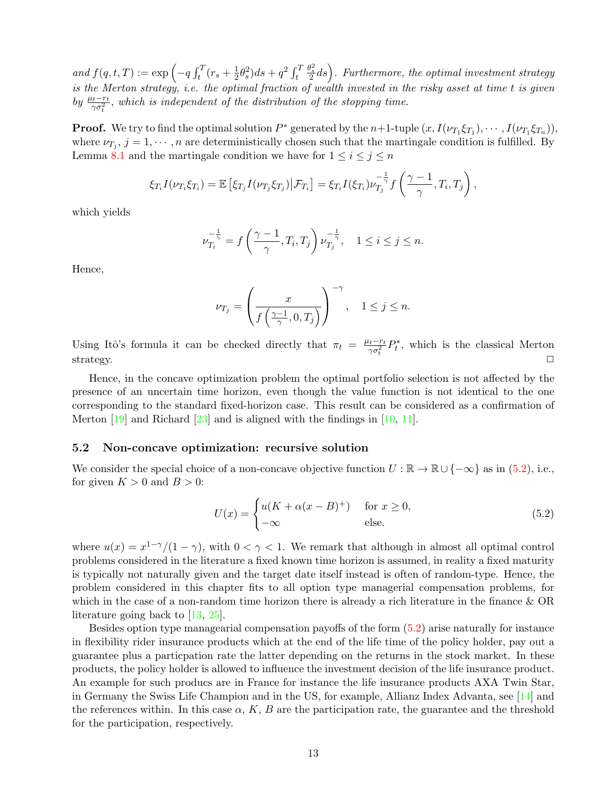and  $f(q, t, T) := \exp \left(-q \int_t^T (r_s + \frac{1}{2}) \right)$  $\frac{1}{2}\theta_s^2)ds + q^2 \int_t^T$  $\frac{\theta_{s}^{2}}{2}ds\Big)$ . Furthermore, the optimal investment strategy is the Merton strategy, i.e. the optimal fraction of wealth invested in the risky asset at time t is given by  $\frac{\mu_t-r_t}{\gamma \sigma_t^2}$ , which is independent of the distribution of the stopping time.

**Proof.** We try to find the optimal solution  $P^*$  generated by the  $n+1$ -tuple  $(x, I(\nu_{T_1} \xi_{T_1}), \cdots, I(\nu_{T_1} \xi_{T_n})),$ where  $\nu_{T_j}$ ,  $j = 1, \dots, n$  are deterministically chosen such that the martingale condition is fulfilled. By Lemma [8.1](#page-24-10) and the martingale condition we have for  $1 \leq i \leq j \leq n$ 

$$
\xi_{T_i} I(\nu_{T_i} \xi_{T_i}) = \mathbb{E} \left[ \xi_{T_j} I(\nu_{T_j} \xi_{T_j}) \big| \mathcal{F}_{T_i} \right] = \xi_{T_i} I(\xi_{T_i}) \nu_{T_j}^{-\frac{1}{\gamma}} f\left(\frac{\gamma - 1}{\gamma}, T_i, T_j\right),
$$

which yields

$$
\nu_{T_i}^{-\frac{1}{\gamma}} = f\left(\frac{\gamma - 1}{\gamma}, T_i, T_j\right) \nu_{T_j}^{-\frac{1}{\gamma}}, \quad 1 \le i \le j \le n.
$$

Hence,

$$
\nu_{T_j} = \left(\frac{x}{f\left(\frac{\gamma - 1}{\gamma}, 0, T_j\right)}\right)^{-\gamma}, \quad 1 \le j \le n.
$$

Using Itô's formula it can be checked directly that  $\pi_t = \frac{\mu_t - r_t}{\gamma \sigma^2}$  $\frac{v_t - r_t}{\gamma \sigma_t^2} P_t^*$ , which is the classical Merton strategy.  $\square$ 

Hence, in the concave optimization problem the optimal portfolio selection is not affected by the presence of an uncertain time horizon, even though the value function is not identical to the one corresponding to the standard fixed-horizon case. This result can be considered as a confirmation of Merton [\[19\]](#page-24-0) and Richard [\[23\]](#page-24-3) and is aligned with the findings in [\[10,](#page-23-2) [11\]](#page-23-3).

#### <span id="page-12-0"></span>5.2 Non-concave optimization: recursive solution

We consider the special choice of a non-concave objective function  $U : \mathbb{R} \to \mathbb{R} \cup \{-\infty\}$  as in [\(5.2\)](#page-12-1), i.e., for given  $K > 0$  and  $B > 0$ :

<span id="page-12-1"></span>
$$
U(x) = \begin{cases} u(K + \alpha(x - B)^+) & \text{for } x \ge 0, \\ -\infty & \text{else.} \end{cases}
$$
 (5.2)

where  $u(x) = x^{1-\gamma}/(1-\gamma)$ , with  $0 < \gamma < 1$ . We remark that although in almost all optimal control problems considered in the literature a fixed known time horizon is assumed, in reality a fixed maturity is typically not naturally given and the target date itself instead is often of random-type. Hence, the problem considered in this chapter fits to all option type managerial compensation problems, for which in the case of a non-random time horizon there is already a rich literature in the finance & OR literature going back to [\[13,](#page-23-4) [25\]](#page-24-7).

Besides option type managearial compensation payoffs of the form [\(5.2\)](#page-12-1) arise naturally for instance in flexibility rider insurance products which at the end of the life time of the policy holder, pay out a guarantee plus a particpation rate the latter depending on the returns in the stock market. In these products, the policy holder is allowed to influence the investment decision of the life insurance product. An example for such producs are in France for instance the life insurance products AXA Twin Star, in Germany the Swiss Life Champion and in the US, for example, Allianz Index Advanta, see [\[14\]](#page-23-10) and the references within. In this case  $\alpha$ , K, B are the participation rate, the guarantee and the threshold for the participation, respectively.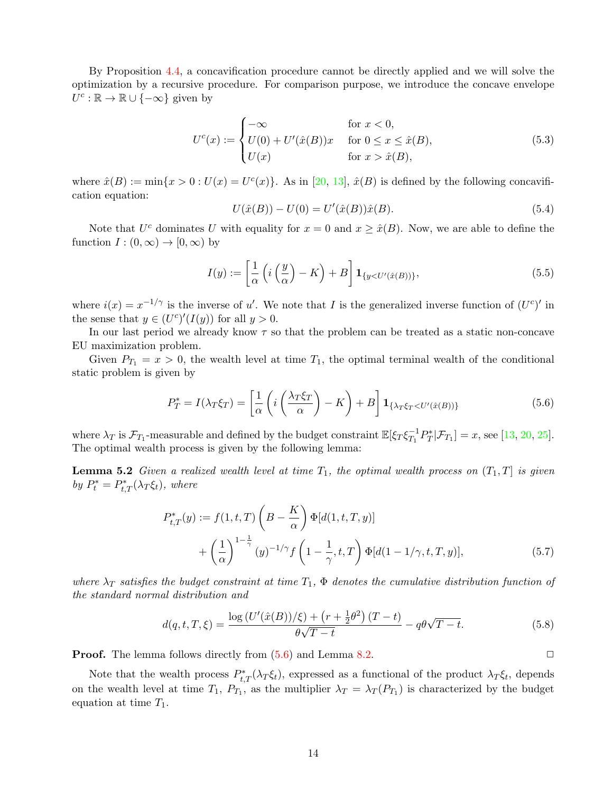By Proposition [4.4,](#page-10-4) a concavification procedure cannot be directly applied and we will solve the optimization by a recursive procedure. For comparison purpose, we introduce the concave envelope  $U^c : \mathbb{R} \to \mathbb{R} \cup \{-\infty\}$  given by

$$
U^{c}(x) := \begin{cases}\n-\infty & \text{for } x < 0, \\
U(0) + U'(\hat{x}(B))x & \text{for } 0 \le x \le \hat{x}(B), \\
U(x) & \text{for } x > \hat{x}(B),\n\end{cases}
$$
\n(5.3)

where  $\hat{x}(B) := \min\{x > 0 : U(x) = U^c(x)\}\.$  As in [\[20,](#page-24-8) [13\]](#page-23-4),  $\hat{x}(B)$  is defined by the following concavification equation:

<span id="page-13-3"></span><span id="page-13-2"></span>
$$
U(\hat{x}(B)) - U(0) = U'(\hat{x}(B))\hat{x}(B).
$$
\n(5.4)

Note that  $U^c$  dominates U with equality for  $x = 0$  and  $x \ge \hat{x}(B)$ . Now, we are able to define the function  $I:(0,\infty)\to[0,\infty)$  by

$$
I(y) := \left[\frac{1}{\alpha} \left(i\left(\frac{y}{\alpha}\right) - K\right) + B\right] \mathbf{1}_{\{y < U'(\hat{x}(B))\}},\tag{5.5}
$$

where  $i(x) = x^{-1/\gamma}$  is the inverse of u'. We note that I is the generalized inverse function of  $(U^c)'$  in the sense that  $y \in (U^c)'(I(y))$  for all  $y > 0$ .

In our last period we already know  $\tau$  so that the problem can be treated as a static non-concave EU maximization problem.

Given  $P_{T_1} = x > 0$ , the wealth level at time  $T_1$ , the optimal terminal wealth of the conditional static problem is given by

<span id="page-13-0"></span>
$$
P_T^* = I(\lambda_T \xi_T) = \left[\frac{1}{\alpha} \left(i \left(\frac{\lambda_T \xi_T}{\alpha}\right) - K\right) + B\right] \mathbf{1}_{\{\lambda_T \xi_T < U'(\hat{x}(B))\}}\tag{5.6}
$$

where  $\lambda_T$  is  $\mathcal{F}_{T_1}$ -measurable and defined by the budget constraint  $\mathbb{E}[\xi_T \xi_{T_1}^{-1}]$  $T_1^{-1}P_T^*|\mathcal{F}_{T_1}] = x$ , see [\[13,](#page-23-4) [20,](#page-24-8) [25\]](#page-24-7). The optimal wealth process is given by the following lemma:

**Lemma 5.2** Given a realized wealth level at time  $T_1$ , the optimal wealth process on  $(T_1, T]$  is given by  $P_t^* = P_{t,T}^*(\lambda_T \xi_t)$ , where

$$
P_{t,T}^*(y) := f(1, t, T) \left( B - \frac{K}{\alpha} \right) \Phi[d(1, t, T, y)]
$$
  
+ 
$$
\left( \frac{1}{\alpha} \right)^{1 - \frac{1}{\gamma}} (y)^{-1/\gamma} f\left( 1 - \frac{1}{\gamma}, t, T \right) \Phi[d(1 - 1/\gamma, t, T, y)],
$$
(5.7)

where  $\lambda_T$  satisfies the budget constraint at time  $T_1$ ,  $\Phi$  denotes the cumulative distribution function of the standard normal distribution and

<span id="page-13-1"></span>
$$
d(q, t, T, \xi) = \frac{\log (U'(\hat{x}(B)) / \xi) + (r + \frac{1}{2}\theta^2) (T - t)}{\theta\sqrt{T - t}} - q\theta\sqrt{T - t}.
$$
 (5.8)

**Proof.** The lemma follows directly from  $(5.6)$  and Lemma [8.2.](#page-24-11)  $\Box$ 

Note that the wealth process  $P_{t,T}^*(\lambda_T \xi_t)$ , expressed as a functional of the product  $\lambda_T \xi_t$ , depends on the wealth level at time  $T_1$ ,  $P_{T_1}$ , as the multiplier  $\lambda_T = \lambda_T (P_{T_1})$  is characterized by the budget equation at time  $T_1$ .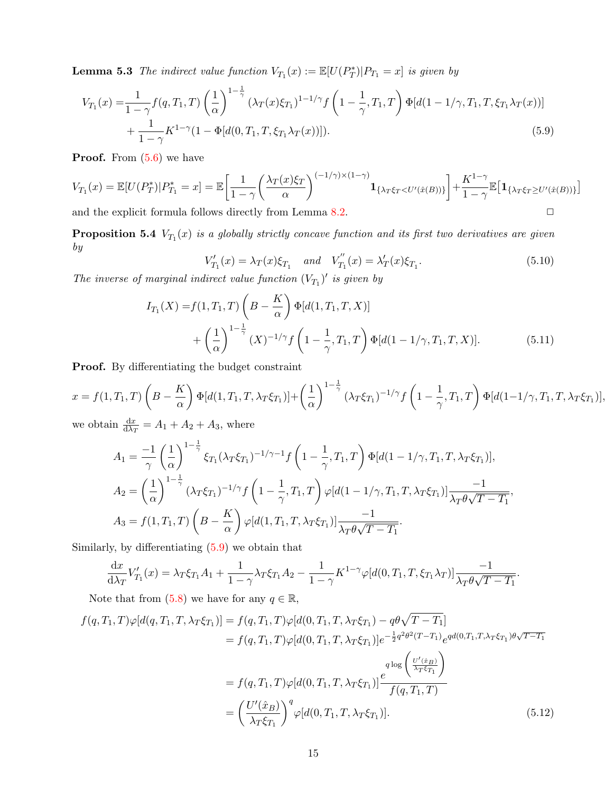**Lemma 5.3** The indirect value function  $V_{T_1}(x) := \mathbb{E}[U(P_T^*)|P_{T_1} = x]$  is given by

$$
V_{T_1}(x) = \frac{1}{1 - \gamma} f(q, T_1, T) \left(\frac{1}{\alpha}\right)^{1 - \frac{1}{\gamma}} (\lambda_T(x)\xi_{T_1})^{1 - 1/\gamma} f\left(1 - \frac{1}{\gamma}, T_1, T\right) \Phi[d(1 - 1/\gamma, T_1, T, \xi_{T_1}\lambda_T(x))] + \frac{1}{1 - \gamma} K^{1 - \gamma} (1 - \Phi[d(0, T_1, T, \xi_{T_1}\lambda_T(x))]).
$$
(5.9)

**Proof.** From  $(5.6)$  we have

$$
V_{T_1}(x) = \mathbb{E}[U(P_T^*)|P_{T_1}^* = x] = \mathbb{E}\bigg[\frac{1}{1-\gamma} \bigg(\frac{\lambda_T(x)\xi_T}{\alpha}\bigg)^{(-1/\gamma)\times(1-\gamma)}\mathbf{1}_{\{\lambda_T\xi_T < U'(\hat{x}(B))\}}\bigg] + \frac{K^{1-\gamma}}{1-\gamma}\mathbb{E}\big[\mathbf{1}_{\{\lambda_T\xi_T \geq U'(\hat{x}(B))\}}\bigg]
$$

and the explicit formula follows directly from Lemma [8.2.](#page-24-11)  $\Box$ 

<span id="page-14-3"></span>**Proposition 5.4**  $V_{T_1}(x)$  is a globally strictly concave function and its first two derivatives are given by

<span id="page-14-2"></span><span id="page-14-0"></span>
$$
V'_{T_1}(x) = \lambda_T(x)\xi_{T_1} \quad and \quad V''_{T_1}(x) = \lambda'_T(x)\xi_{T_1}.
$$
 (5.10)

The inverse of marginal indirect value function  $(V_{T_1})'$  is given by

$$
I_{T_1}(X) = f(1, T_1, T) \left( B - \frac{K}{\alpha} \right) \Phi[d(1, T_1, T, X)] + \left( \frac{1}{\alpha} \right)^{1 - \frac{1}{\gamma}} (X)^{-1/\gamma} f\left( 1 - \frac{1}{\gamma}, T_1, T \right) \Phi[d(1 - 1/\gamma, T_1, T, X)].
$$
(5.11)

Proof. By differentiating the budget constraint

$$
x = f(1, T_1, T) \left( B - \frac{K}{\alpha} \right) \Phi[d(1, T_1, T, \lambda_T \xi_{T_1})] + \left( \frac{1}{\alpha} \right)^{1 - \frac{1}{\gamma}} (\lambda_T \xi_{T_1})^{-1/\gamma} f\left( 1 - \frac{1}{\gamma}, T_1, T \right) \Phi[d(1 - 1/\gamma, T_1, T, \lambda_T \xi_{T_1})],
$$
  
we obtain  $\frac{dx}{dt} = A_1 + A_2 + A_3$  where

we obtain  $\frac{dx}{d\lambda_T} = A_1 + A_2 + A_3$ , where

$$
A_1 = \frac{-1}{\gamma} \left(\frac{1}{\alpha}\right)^{1-\frac{1}{\gamma}} \xi_{T_1} (\lambda_T \xi_{T_1})^{-1/\gamma - 1} f\left(1 - \frac{1}{\gamma}, T_1, T\right) \Phi[d(1 - 1/\gamma, T_1, T, \lambda_T \xi_{T_1})],
$$
  
\n
$$
A_2 = \left(\frac{1}{\alpha}\right)^{1-\frac{1}{\gamma}} (\lambda_T \xi_{T_1})^{-1/\gamma} f\left(1 - \frac{1}{\gamma}, T_1, T\right) \varphi[d(1 - 1/\gamma, T_1, T, \lambda_T \xi_{T_1})] \frac{-1}{\lambda_T \theta \sqrt{T - T_1}},
$$
  
\n
$$
A_3 = f(1, T_1, T) \left(B - \frac{K}{\alpha}\right) \varphi[d(1, T_1, T, \lambda_T \xi_{T_1})] \frac{-1}{\lambda_T \theta \sqrt{T - T_1}}.
$$

Similarly, by differentiating [\(5.9\)](#page-14-0) we obtain that

<span id="page-14-1"></span>
$$
\frac{\mathrm{d}x}{\mathrm{d}\lambda_T}V'_{T_1}(x) = \lambda_T \xi_{T_1}A_1 + \frac{1}{1-\gamma}\lambda_T \xi_{T_1}A_2 - \frac{1}{1-\gamma}K^{1-\gamma}\varphi[d(0,T_1,T,\xi_{T_1}\lambda_T)]\frac{-1}{\lambda_T\theta\sqrt{T-T_1}}.
$$

Note that from [\(5.8\)](#page-13-1) we have for any  $q \in \mathbb{R}$ ,

$$
f(q,T_1,T)\varphi[d(q,T_1,T,\lambda_T\xi_{T_1})] = f(q,T_1,T)\varphi[d(0,T_1,T,\lambda_T\xi_{T_1}) - q\theta\sqrt{T-T_1}]
$$
  
\n
$$
= f(q,T_1,T)\varphi[d(0,T_1,T,\lambda_T\xi_{T_1})]e^{-\frac{1}{2}q^2\theta^2(T-T_1)}e^{qd(0,T_1,T,\lambda_T\xi_{T_1})\theta\sqrt{T-T_1}}
$$
  
\n
$$
= f(q,T_1,T)\varphi[d(0,T_1,T,\lambda_T\xi_{T_1})] \frac{e^{q\log\left(\frac{U'(\hat{x}_B)}{\lambda_T\xi_{T_1}}\right)}}{f(q,T_1,T)}
$$
  
\n
$$
= \left(\frac{U'(\hat{x}_B)}{\lambda_T\xi_{T_1}}\right)^q \varphi[d(0,T_1,T,\lambda_T\xi_{T_1})]. \tag{5.12}
$$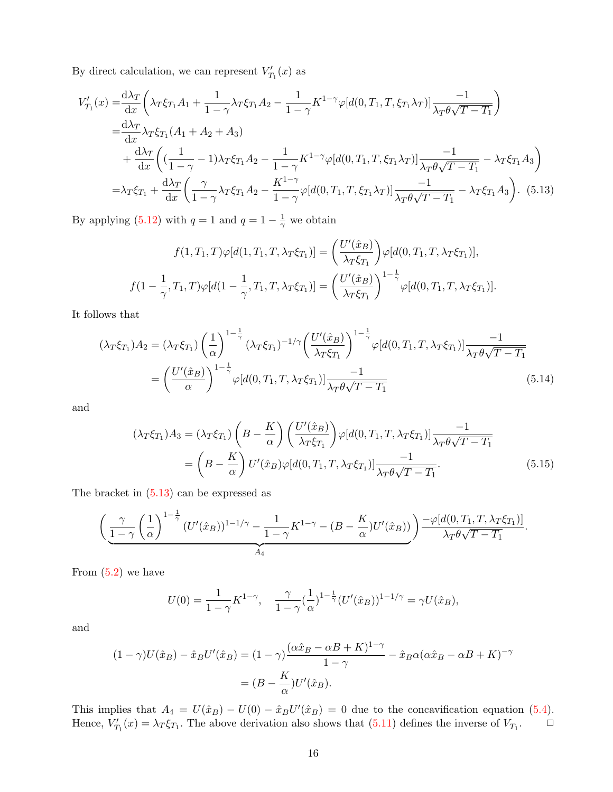By direct calculation, we can represent  $V'_{T_1}(x)$  as

$$
V'_{T_1}(x) = \frac{d\lambda_T}{dx} \left( \lambda_T \xi_{T_1} A_1 + \frac{1}{1 - \gamma} \lambda_T \xi_{T_1} A_2 - \frac{1}{1 - \gamma} K^{1 - \gamma} \varphi[d(0, T_1, T, \xi_{T_1} \lambda_T)] \frac{-1}{\lambda_T \theta \sqrt{T - T_1}} \right)
$$
  
\n
$$
= \frac{d\lambda_T}{dx} \lambda_T \xi_{T_1} (A_1 + A_2 + A_3)
$$
  
\n
$$
+ \frac{d\lambda_T}{dx} \left( (\frac{1}{1 - \gamma} - 1) \lambda_T \xi_{T_1} A_2 - \frac{1}{1 - \gamma} K^{1 - \gamma} \varphi[d(0, T_1, T, \xi_{T_1} \lambda_T)] \frac{-1}{\lambda_T \theta \sqrt{T - T_1}} - \lambda_T \xi_{T_1} A_3 \right)
$$
  
\n
$$
= \lambda_T \xi_{T_1} + \frac{d\lambda_T}{dx} \left( \frac{\gamma}{1 - \gamma} \lambda_T \xi_{T_1} A_2 - \frac{K^{1 - \gamma}}{1 - \gamma} \varphi[d(0, T_1, T, \xi_{T_1} \lambda_T)] \frac{-1}{\lambda_T \theta \sqrt{T - T_1}} - \lambda_T \xi_{T_1} A_3 \right). \tag{5.13}
$$

By applying  $(5.12)$  with  $q = 1$  and  $q = 1 - \frac{1}{\gamma}$  $\frac{1}{\gamma}$  we obtain

<span id="page-15-0"></span>
$$
f(1,T_1,T)\varphi[d(1,T_1,T,\lambda_T\xi_{T_1})] = \left(\frac{U'(\hat{x}_B)}{\lambda_T\xi_{T_1}}\right)\varphi[d(0,T_1,T,\lambda_T\xi_{T_1})],
$$
  

$$
f(1-\frac{1}{\gamma},T_1,T)\varphi[d(1-\frac{1}{\gamma},T_1,T,\lambda_T\xi_{T_1})] = \left(\frac{U'(\hat{x}_B)}{\lambda_T\xi_{T_1}}\right)^{1-\frac{1}{\gamma}}\varphi[d(0,T_1,T,\lambda_T\xi_{T_1})].
$$

It follows that

$$
(\lambda_T \xi_{T_1}) A_2 = (\lambda_T \xi_{T_1}) \left(\frac{1}{\alpha}\right)^{1-\frac{1}{\gamma}} (\lambda_T \xi_{T_1})^{-1/\gamma} \left(\frac{U'(\hat{x}_B)}{\lambda_T \xi_{T_1}}\right)^{1-\frac{1}{\gamma}} \varphi[d(0, T_1, T, \lambda_T \xi_{T_1})] \frac{-1}{\lambda_T \theta \sqrt{T - T_1}}
$$
  
= 
$$
\left(\frac{U'(\hat{x}_B)}{\alpha}\right)^{1-\frac{1}{\gamma}} \varphi[d(0, T_1, T, \lambda_T \xi_{T_1})] \frac{-1}{\lambda_T \theta \sqrt{T - T_1}}
$$
(5.14)

and

$$
(\lambda_T \xi_{T_1}) A_3 = (\lambda_T \xi_{T_1}) \left( B - \frac{K}{\alpha} \right) \left( \frac{U'(\hat{x}_B)}{\lambda_T \xi_{T_1}} \right) \varphi[d(0, T_1, T, \lambda_T \xi_{T_1})] \frac{-1}{\lambda_T \theta \sqrt{T - T_1}}
$$
  
= 
$$
\left( B - \frac{K}{\alpha} \right) U'(\hat{x}_B) \varphi[d(0, T_1, T, \lambda_T \xi_{T_1})] \frac{-1}{\lambda_T \theta \sqrt{T - T_1}}.
$$
(5.15)

The bracket in [\(5.13\)](#page-15-0) can be expressed as

$$
\left(\underbrace{\frac{\gamma}{1-\gamma}\left(\frac{1}{\alpha}\right)^{1-\frac{1}{\gamma}}(U'(\hat{x}_B))^{1-1/\gamma}-\frac{1}{1-\gamma}K^{1-\gamma}-(B-\frac{K}{\alpha})U'(\hat{x}_B))}_{A_4}\right) \frac{-\varphi[d(0,T_1,T,\lambda_T\xi_{T_1})]}{\lambda_T\theta\sqrt{T-T_1}}.
$$

From  $(5.2)$  we have

$$
U(0) = \frac{1}{1 - \gamma} K^{1 - \gamma}, \quad \frac{\gamma}{1 - \gamma} (\frac{1}{\alpha})^{1 - \frac{1}{\gamma}} (U'(\hat{x}_B))^{1 - 1/\gamma} = \gamma U(\hat{x}_B),
$$

and

$$
(1 - \gamma)U(\hat{x}_B) - \hat{x}_B U'(\hat{x}_B) = (1 - \gamma) \frac{(\alpha \hat{x}_B - \alpha B + K)^{1 - \gamma}}{1 - \gamma} - \hat{x}_B \alpha (\alpha \hat{x}_B - \alpha B + K)^{-\gamma}
$$

$$
= (B - \frac{K}{\alpha})U'(\hat{x}_B).
$$

This implies that  $A_4 = U(\hat{x}_B) - U(0) - \hat{x}_B U'(\hat{x}_B) = 0$  due to the concavification equation [\(5.4\)](#page-13-2). Hence,  $V'_{T_1}(x) = \lambda_T \xi_{T_1}$ . The above derivation also shows that  $(5.11)$  defines the inverse of  $V_{T_1}$ .  $\Box$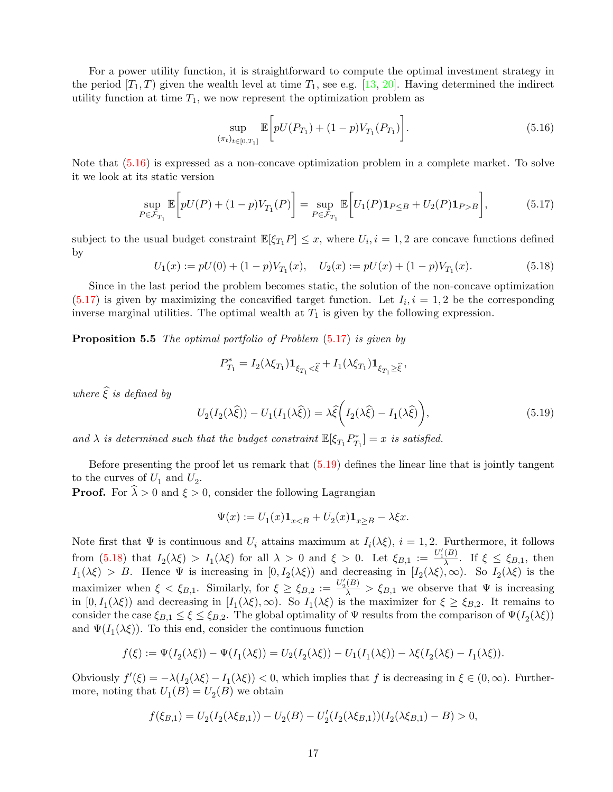For a power utility function, it is straightforward to compute the optimal investment strategy in the period  $[T_1, T]$  given the wealth level at time  $T_1$ , see e.g. [\[13,](#page-23-4) [20\]](#page-24-8). Having determined the indirect utility function at time  $T_1$ , we now represent the optimization problem as

<span id="page-16-1"></span><span id="page-16-0"></span>
$$
\sup_{(\pi_t)_{t \in [0,T_1]}} \mathbb{E}\bigg[pU(P_{T_1}) + (1-p)V_{T_1}(P_{T_1})\bigg].\tag{5.16}
$$

Note that [\(5.16\)](#page-16-0) is expressed as a non-concave optimization problem in a complete market. To solve it we look at its static version

$$
\sup_{P \in \mathcal{F}_{T_1}} \mathbb{E}\bigg[pU(P) + (1-p)V_{T_1}(P)\bigg] = \sup_{P \in \mathcal{F}_{T_1}} \mathbb{E}\bigg[U_1(P)\mathbf{1}_{P \leq B} + U_2(P)\mathbf{1}_{P > B}\bigg],\tag{5.17}
$$

subject to the usual budget constraint  $\mathbb{E}[\xi_{T_1}P] \leq x$ , where  $U_i, i = 1, 2$  are concave functions defined by

<span id="page-16-3"></span>
$$
U_1(x) := pU(0) + (1 - p)V_{T_1}(x), \quad U_2(x) := pU(x) + (1 - p)V_{T_1}(x).
$$
\n(5.18)

Since in the last period the problem becomes static, the solution of the non-concave optimization  $(5.17)$  is given by maximizing the concavified target function. Let  $I_i, i = 1, 2$  be the corresponding inverse marginal utilities. The optimal wealth at  $T_1$  is given by the following expression.

**Proposition 5.5** The optimal portfolio of Problem  $(5.17)$  is given by

$$
P_{T_1}^* = I_2(\lambda \xi_{T_1}) \mathbf{1}_{\xi_{T_1} < \hat{\xi}} + I_1(\lambda \xi_{T_1}) \mathbf{1}_{\xi_{T_1} \geq \hat{\xi}},
$$

where  $\hat{\xi}$  is defined by

<span id="page-16-2"></span>
$$
U_2(I_2(\lambda \widehat{\xi})) - U_1(I_1(\lambda \widehat{\xi})) = \lambda \widehat{\xi}\bigg(I_2(\lambda \widehat{\xi}) - I_1(\lambda \widehat{\xi})\bigg),\tag{5.19}
$$

and  $\lambda$  is determined such that the budget constraint  $\mathbb{E}[\xi_{T_1} P_{T_1}^*] = x$  is satisfied.

Before presenting the proof let us remark that [\(5.19\)](#page-16-2) defines the linear line that is jointly tangent to the curves of  $U_1$  and  $U_2$ .

**Proof.** For  $\hat{\lambda} > 0$  and  $\xi > 0$ , consider the following Lagrangian

$$
\Psi(x) := U_1(x)\mathbf{1}_{x
$$

Note first that  $\Psi$  is continuous and  $U_i$  attains maximum at  $I_i(\lambda \xi)$ ,  $i = 1, 2$ . Furthermore, it follows from [\(5.18\)](#page-16-3) that  $I_2(\lambda \xi) > I_1(\lambda \xi)$  for all  $\lambda > 0$  and  $\xi > 0$ . Let  $\xi_{B,1} := \frac{U_1'(B)}{\lambda}$  $\frac{D}{\lambda}$ . If  $\xi \leq \xi_{B,1}$ , then  $I_1(\lambda \xi) > B$ . Hence  $\Psi$  is increasing in  $[0, I_2(\lambda \xi))$  and decreasing in  $[I_2(\lambda \xi), \infty)$ . So  $I_2(\lambda \xi)$  is the maximizer when  $\xi < \xi_{B,1}$ . Similarly, for  $\xi \ge \xi_{B,2} := \frac{U_2'(B)}{\lambda} > \xi_{B,1}$  we observe that  $\Psi$  is increasing in  $[0, I_1(\lambda \xi))$  and decreasing in  $[I_1(\lambda \xi), \infty)$ . So  $I_1(\lambda \xi)$  is the maximizer for  $\xi \geq \xi_{B,2}$ . It remains to consider the case  $\xi_{B,1} \leq \xi \leq \xi_{B,2}$ . The global optimality of  $\Psi$  results from the comparison of  $\Psi(I_2(\lambda \xi))$ and  $\Psi(I_1(\lambda \xi))$ . To this end, consider the continuous function

$$
f(\xi) := \Psi(I_2(\lambda \xi)) - \Psi(I_1(\lambda \xi)) = U_2(I_2(\lambda \xi)) - U_1(I_1(\lambda \xi)) - \lambda \xi(I_2(\lambda \xi) - I_1(\lambda \xi)).
$$

Obviously  $f'(\xi) = -\lambda (I_2(\lambda \xi) - I_1(\lambda \xi)) < 0$ , which implies that f is decreasing in  $\xi \in (0, \infty)$ . Furthermore, noting that  $U_1(B) = U_2(B)$  we obtain

$$
f(\xi_{B,1})=U_2(I_2(\lambda \xi_{B,1}))-U_2(B)-U_2'(I_2(\lambda \xi_{B,1}))(I_2(\lambda \xi_{B,1})-B)>0,
$$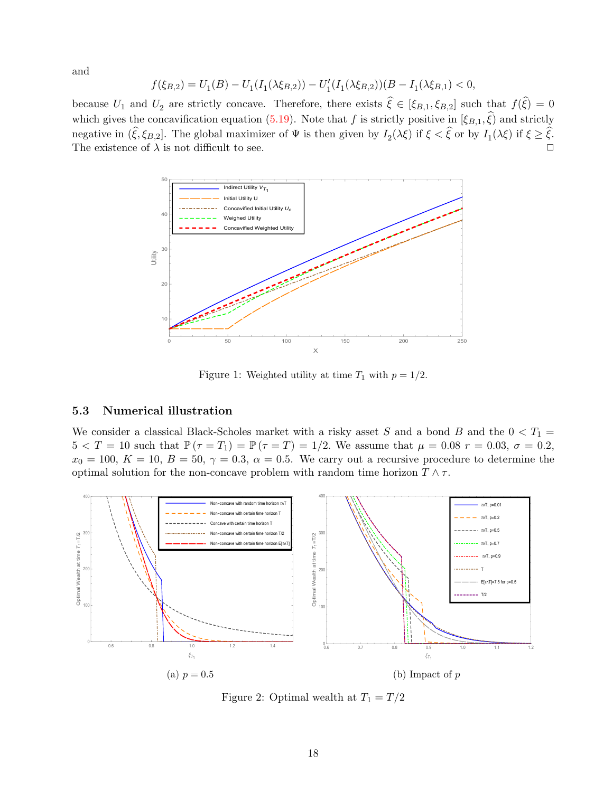and

$$
f(\xi_{B,2}) = U_1(B) - U_1(I_1(\lambda \xi_{B,2})) - U_1'(I_1(\lambda \xi_{B,2}))(B - I_1(\lambda \xi_{B,1}) < 0,
$$

<span id="page-17-0"></span>because  $U_1$  and  $U_2$  are strictly concave. Therefore, there exists  $\xi \in [\xi_{B,1}, \xi_{B,2}]$  such that  $f(\xi) = 0$ which gives the concavification equation [\(5.19\)](#page-16-2). Note that f is strictly positive in  $(\xi_{B,1}, \hat{\xi})$  and strictly negative in  $(\xi, \xi_{B,2}]$ . The global maximizer of  $\Psi$  is then given by  $I_2(\lambda \xi)$  if  $\xi < \xi$  or by  $I_1(\lambda \xi)$  if  $\xi \ge \xi$ . The existence of  $\lambda$  is not difficult to see.  $\Box$ 



Figure 1: Weighted utility at time  $T_1$  with  $p = 1/2$ .

#### 5.3 Numerical illustration

We consider a classical Black-Scholes market with a risky asset S and a bond B and the  $0 < T_1 =$  $5 < T = 10$  such that  $\mathbb{P}(\tau = T_1) = \mathbb{P}(\tau = T) = 1/2$ . We assume that  $\mu = 0.08$   $r = 0.03$ ,  $\sigma = 0.2$ ,  $x_0 = 100, K = 10, B = 50, \gamma = 0.3, \alpha = 0.5.$  We carry out a recursive procedure to determine the optimal solution for the non-concave problem with random time horizon  $T \wedge \tau$ .

<span id="page-17-1"></span>

Figure 2: Optimal wealth at  $T_1 = T/2$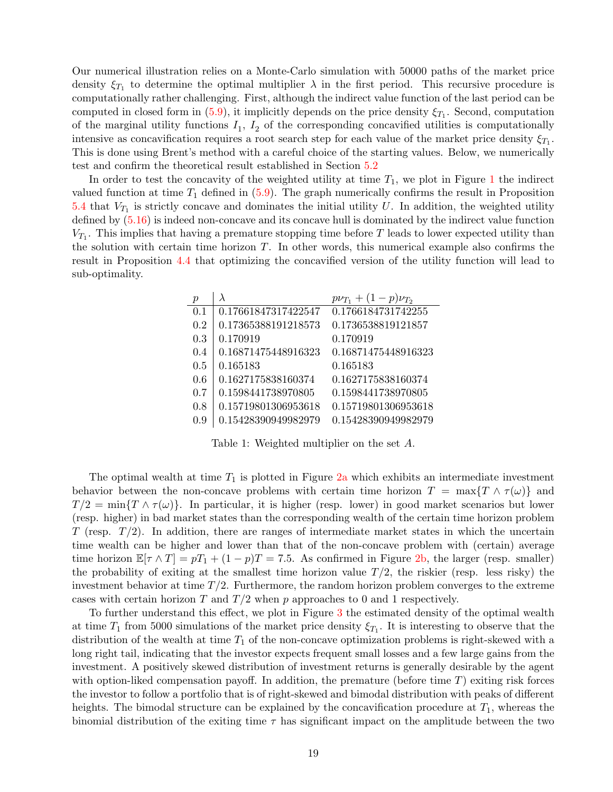Our numerical illustration relies on a Monte-Carlo simulation with 50000 paths of the market price density  $\xi_{T_1}$  to determine the optimal multiplier  $\lambda$  in the first period. This recursive procedure is computationally rather challenging. First, although the indirect value function of the last period can be computed in closed form in  $(5.9)$ , it implicitly depends on the price density  $\xi_{T_1}$ . Second, computation of the marginal utility functions  $I_1$ ,  $I_2$  of the corresponding concavified utilities is computationally intensive as concavification requires a root search step for each value of the market price density  $\xi_{T_1}$ . This is done using Brent's method with a careful choice of the starting values. Below, we numerically test and confirm the theoretical result established in Section [5.2](#page-12-0)

<span id="page-18-0"></span>In order to test the concavity of the weighted utility at time  $T_1$  $T_1$ , we plot in Figure 1 the indirect valued function at time  $T_1$  defined in  $(5.9)$ . The graph numerically confirms the result in Proposition [5.4](#page-14-3) that  $V_{T_1}$  is strictly concave and dominates the initial utility U. In addition, the weighted utility defined by [\(5.16\)](#page-16-0) is indeed non-concave and its concave hull is dominated by the indirect value function  $V_{T_1}$ . This implies that having a premature stopping time before T leads to lower expected utility than the solution with certain time horizon  $T$ . In other words, this numerical example also confirms the result in Proposition [4.4](#page-10-4) that optimizing the concavified version of the utility function will lead to sub-optimality.

| р   | λ                   | $p\nu_{T_1} + (1-p)\nu_{T_2}$ |
|-----|---------------------|-------------------------------|
| 0.1 | 0.17661847317422547 | 0.1766184731742255            |
| 0.2 | 0.17365388191218573 | 0.1736538819121857            |
| 0.3 | 0.170919            | 0.170919                      |
| 0.4 | 0.16871475448916323 | 0.16871475448916323           |
| 0.5 | 0.165183            | 0.165183                      |
| 0.6 | 0.1627175838160374  | 0.1627175838160374            |
| 0.7 | 0.1598441738970805  | 0.1598441738970805            |
| 0.8 | 0.15719801306953618 | 0.15719801306953618           |
| 0.9 | 0.15428390949982979 | 0.15428390949982979           |

Table 1: Weighted multiplier on the set A.

The optimal wealth at time  $T_1$  is plotted in Figure [2a](#page-17-1) which exhibits an intermediate investment behavior between the non-concave problems with certain time horizon  $T = \max\{T \wedge \tau(\omega)\}\$  and  $T/2 = \min\{T \wedge \tau(\omega)\}\.$  In particular, it is higher (resp. lower) in good market scenarios but lower (resp. higher) in bad market states than the corresponding wealth of the certain time horizon problem T (resp.  $T/2$ ). In addition, there are ranges of intermediate market states in which the uncertain time wealth can be higher and lower than that of the non-concave problem with (certain) average time horizon  $\mathbb{E}[\tau \wedge T] = pT_1 + (1 - p)T = 7.5$ . As confirmed in Figure [2b,](#page-17-1) the larger (resp. smaller) the probability of exiting at the smallest time horizon value  $T/2$ , the riskier (resp. less risky) the investment behavior at time  $T/2$ . Furthermore, the random horizon problem converges to the extreme cases with certain horizon T and  $T/2$  when p approaches to 0 and 1 respectively.

To further understand this effect, we plot in Figure [3](#page-19-0) the estimated density of the optimal wealth at time  $T_1$  from 5000 simulations of the market price density  $\xi_{T_1}$ . It is interesting to observe that the distribution of the wealth at time  $T_1$  of the non-concave optimization problems is right-skewed with a long right tail, indicating that the investor expects frequent small losses and a few large gains from the investment. A positively skewed distribution of investment returns is generally desirable by the agent with option-liked compensation payoff. In addition, the premature (before time  $T$ ) exiting risk forces the investor to follow a portfolio that is of right-skewed and bimodal distribution with peaks of different heights. The bimodal structure can be explained by the concavification procedure at  $T_1$ , whereas the binomial distribution of the exiting time  $\tau$  has significant impact on the amplitude between the two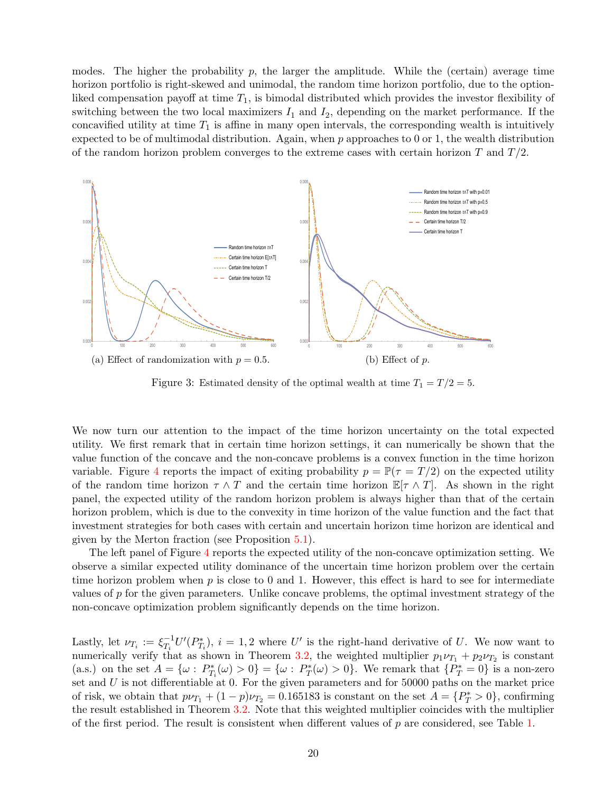modes. The higher the probability  $p$ , the larger the amplitude. While the (certain) average time horizon portfolio is right-skewed and unimodal, the random time horizon portfolio, due to the optionliked compensation payoff at time  $T_1$ , is bimodal distributed which provides the investor flexibility of switching between the two local maximizers  $I_1$  and  $I_2$ , depending on the market performance. If the concavified utility at time  $T_1$  is affine in many open intervals, the corresponding wealth is intuitively expected to be of multimodal distribution. Again, when  $p$  approaches to 0 or 1, the wealth distribution of the random horizon problem converges to the extreme cases with certain horizon T and  $T/2$ .

<span id="page-19-0"></span>

Figure 3: Estimated density of the optimal wealth at time  $T_1 = T/2 = 5$ .

We now turn our attention to the impact of the time horizon uncertainty on the total expected utility. We first remark that in certain time horizon settings, it can numerically be shown that the value function of the concave and the non-concave problems is a convex function in the time horizon variable. Figure [4](#page-20-1) reports the impact of exiting probability  $p = \mathbb{P}(\tau = T/2)$  on the expected utility of the random time horizon  $\tau \wedge T$  and the certain time horizon  $\mathbb{E}[\tau \wedge T]$ . As shown in the right panel, the expected utility of the random horizon problem is always higher than that of the certain horizon problem, which is due to the convexity in time horizon of the value function and the fact that investment strategies for both cases with certain and uncertain horizon time horizon are identical and given by the Merton fraction (see Proposition [5.1\)](#page-11-2).

The left panel of Figure [4](#page-20-1) reports the expected utility of the non-concave optimization setting. We observe a similar expected utility dominance of the uncertain time horizon problem over the certain time horizon problem when  $p$  is close to 0 and 1. However, this effect is hard to see for intermediate values of p for the given parameters. Unlike concave problems, the optimal investment strategy of the non-concave optimization problem significantly depends on the time horizon.

Lastly, let  $\nu_{T_i} := \xi_{T_i}^{-1}$  $T_i^{-1}U'(P_{T_i}^*)$ ,  $i=1,2$  where U' is the right-hand derivative of U. We now want to numerically verify that as shown in Theorem [3.2,](#page-6-0) the weighted multiplier  $p_1 \nu_{T_1} + p_2 \nu_{T_2}$  is constant (a.s.) on the set  $A = {\omega : P_{T_i}^*(\omega) > 0} = {\omega : P_T^*(\omega) > 0}$ . We remark that  ${P_T^* = 0}$  is a non-zero set and  $U$  is not differentiable at 0. For the given parameters and for 50000 paths on the market price of risk, we obtain that  $p\nu_{T_1} + (1-p)\nu_{T_2} = 0.165183$  is constant on the set  $A = \{P_T^* > 0\}$ , confirming the result established in Theorem [3.2.](#page-6-0) Note that this weighted multiplier coincides with the multiplier of the first period. The result is consistent when different values of p are considered, see Table [1.](#page-18-0)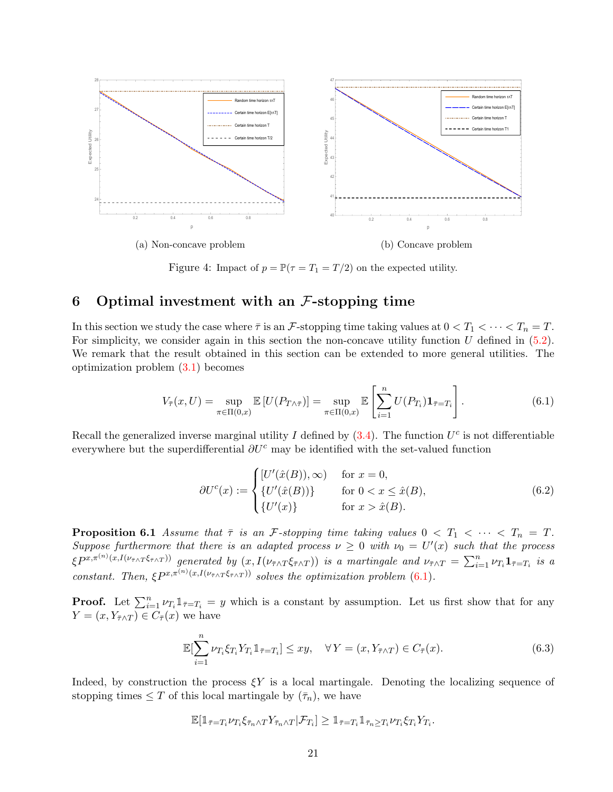<span id="page-20-1"></span>

Figure 4: Impact of  $p = \mathbb{P}(\tau = T_1 = T/2)$  on the expected utility.

## <span id="page-20-0"></span>6 Optimal investment with an  $\mathcal{F}\text{-stopping time}$

In this section we study the case where  $\bar{\tau}$  is an F-stopping time taking values at  $0 < T_1 < \cdots < T_n = T$ . For simplicity, we consider again in this section the non-concave utility function  $U$  defined in [\(5.2\)](#page-12-1). We remark that the result obtained in this section can be extended to more general utilities. The optimization problem [\(3.1\)](#page-4-1) becomes

$$
V_{\overline{\tau}}(x,U) = \sup_{\pi \in \Pi(0,x)} \mathbb{E}\left[U(P_{T \wedge \overline{\tau}})\right] = \sup_{\pi \in \Pi(0,x)} \mathbb{E}\left[\sum_{i=1}^{n} U(P_{T_i}) \mathbf{1}_{\overline{\tau}=T_i}\right]. \tag{6.1}
$$

Recall the generalized inverse marginal utility I defined by  $(3.4)$ . The function  $U^c$  is not differentiable everywhere but the superdifferential  $\partial U^c$  may be identified with the set-valued function

<span id="page-20-5"></span><span id="page-20-2"></span>
$$
\partial U^c(x) := \begin{cases} [U'(\hat{x}(B)), \infty) & \text{for } x = 0, \\ \{U'(\hat{x}(B))\} & \text{for } 0 < x \le \hat{x}(B), \\ \{U'(x)\} & \text{for } x > \hat{x}(B). \end{cases} \tag{6.2}
$$

<span id="page-20-4"></span>**Proposition 6.1** Assume that  $\bar{\tau}$  is an *F*-stopping time taking values  $0 < T_1 < \cdots < T_n = T$ . Suppose furthermore that there is an adapted process  $\nu \geq 0$  with  $\nu_0 = U'(x)$  such that the process  $\langle \xi P^{x,\pi^{(n)}(x,I(\nu_{\bar{\tau}\wedge T}\xi_{\bar{\tau}\wedge T}))}$  generated by  $(x,I(\nu_{\bar{\tau}\wedge T}\xi_{\bar{\tau}\wedge T}))$  is a martingale and  $\nu_{\bar{\tau}\wedge T}=\sum_{i=1}^n \nu_{T_i} \mathbf{1}_{\bar{\tau}=T_i}$  is a constant. Then,  $\xi P^{x,\pi^{(n)}(x,I(\nu_{\bar{\tau}\wedge T}\xi_{\bar{\tau}\wedge T}))}$  solves the optimization problem [\(6.1\)](#page-20-2).

**Proof.** Let  $\sum_{i=1}^{n} \nu_{T_i} \mathbb{1}_{\bar{\tau}=T_i} = y$  which is a constant by assumption. Let us first show that for any  $Y = (x, Y_{\bar{\tau} \wedge T}) \in C_{\bar{\tau}}(x)$  we have

<span id="page-20-3"></span>
$$
\mathbb{E}[\sum_{i=1}^{n} \nu_{T_i} \xi_{T_i} Y_{T_i} \mathbb{1}_{\bar{\tau}=T_i}] \le xy, \quad \forall Y = (x, Y_{\bar{\tau} \wedge T}) \in C_{\bar{\tau}}(x). \tag{6.3}
$$

Indeed, by construction the process  $\xi Y$  is a local martingale. Denoting the localizing sequence of stopping times  $\leq T$  of this local martingale by  $(\bar{\tau}_n)$ , we have

$$
\mathbb{E}[\mathbb{1}_{\bar{\tau}=T_i}\nu_{T_i}\xi_{\bar{\tau}_n\wedge T}Y_{\bar{\tau}_n\wedge T}|\mathcal{F}_{T_i}]\geq \mathbb{1}_{\bar{\tau}=T_i}\mathbb{1}_{\bar{\tau}_n\geq T_i}\nu_{T_i}\xi_{T_i}Y_{T_i}.
$$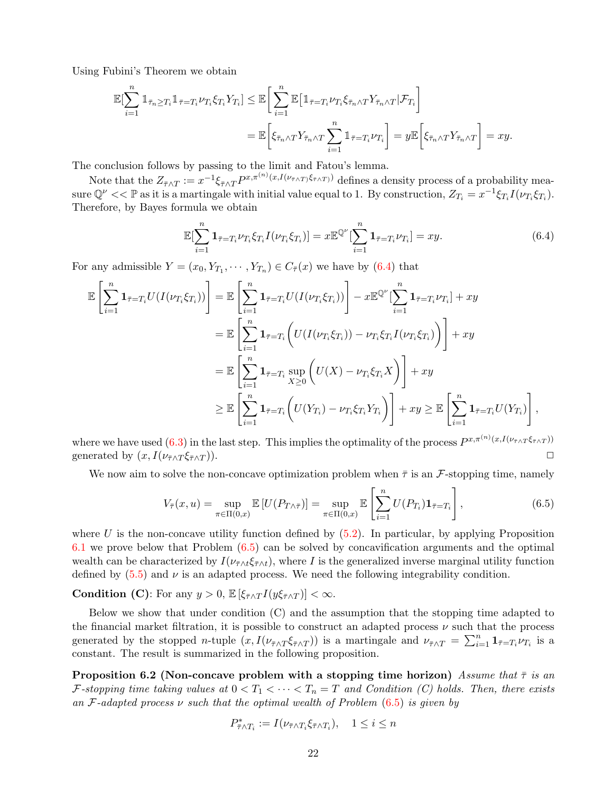Using Fubini's Theorem we obtain

$$
\mathbb{E}[\sum_{i=1}^{n} \mathbb{1}_{\bar{\tau}_{n} \geq T_{i}} \mathbb{1}_{\bar{\tau} = T_{i}} \nu_{T_{i}} \xi_{T_{i}} Y_{T_{i}}] \leq \mathbb{E} \bigg[ \sum_{i=1}^{n} \mathbb{E} \big[ \mathbb{1}_{\bar{\tau} = T_{i}} \nu_{T_{i}} \xi_{\bar{\tau}_{n} \wedge T} Y_{\bar{\tau}_{n} \wedge T} | \mathcal{F}_{T_{i}} \big] \n= \mathbb{E} \bigg[ \xi_{\bar{\tau}_{n} \wedge T} Y_{\bar{\tau}_{n} \wedge T} \sum_{i=1}^{n} \mathbb{1}_{\bar{\tau} = T_{i}} \nu_{T_{i}} \bigg] = y \mathbb{E} \bigg[ \xi_{\bar{\tau}_{n} \wedge T} Y_{\bar{\tau}_{n} \wedge T} \bigg] = xy.
$$

The conclusion follows by passing to the limit and Fatou's lemma.

Note that the  $Z_{\bar{\tau}\wedge T} := x^{-1}\xi_{\bar{\tau}\wedge T}P^{x,\pi^{(n)}(x,I(\nu_{\bar{\tau}\wedge T})\xi_{\bar{\tau}\wedge T})}$  defines a density process of a probability measure  $\mathbb{Q}^{\nu} << \mathbb{P}$  as it is a martingale with initial value equal to 1. By construction,  $Z_{T_i} = x^{-1} \xi_{T_i} I(\nu_{T_i} \xi_{T_i}).$ Therefore, by Bayes formula we obtain

<span id="page-21-0"></span>
$$
\mathbb{E}[\sum_{i=1}^{n} \mathbf{1}_{\bar{\tau} = T_i} \nu_{T_i} \xi_{T_i} I(\nu_{T_i} \xi_{T_i})] = x \mathbb{E}^{\mathbb{Q}^{\nu}}[\sum_{i=1}^{n} \mathbf{1}_{\bar{\tau} = T_i} \nu_{T_i}] = xy.
$$
 (6.4)

For any admissible  $Y = (x_0, Y_{T_1}, \dots, Y_{T_n}) \in C_{\overline{\tau}}(x)$  we have by [\(6.4\)](#page-21-0) that

$$
\mathbb{E}\left[\sum_{i=1}^{n}\mathbf{1}_{\bar{\tau}=T_{i}}U(I(\nu_{T_{i}}\xi_{T_{i}}))\right] = \mathbb{E}\left[\sum_{i=1}^{n}\mathbf{1}_{\bar{\tau}=T_{i}}U(I(\nu_{T_{i}}\xi_{T_{i}}))\right] - x\mathbb{E}^{\mathbb{Q}^{\nu}}[\sum_{i=1}^{n}\mathbf{1}_{\bar{\tau}=T_{i}}\nu_{T_{i}}] + xy
$$
\n
$$
= \mathbb{E}\left[\sum_{i=1}^{n}\mathbf{1}_{\bar{\tau}=T_{i}}\left(U(I(\nu_{T_{i}}\xi_{T_{i}})) - \nu_{T_{i}}\xi_{T_{i}}I(\nu_{T_{i}}\xi_{T_{i}})\right)\right] + xy
$$
\n
$$
= \mathbb{E}\left[\sum_{i=1}^{n}\mathbf{1}_{\bar{\tau}=T_{i}}\sup_{X\geq 0}\left(U(X) - \nu_{T_{i}}\xi_{T_{i}}X\right)\right] + xy
$$
\n
$$
\geq \mathbb{E}\left[\sum_{i=1}^{n}\mathbf{1}_{\bar{\tau}=T_{i}}\left(U(Y_{T_{i}}) - \nu_{T_{i}}\xi_{T_{i}}Y_{T_{i}}\right)\right] + xy \geq \mathbb{E}\left[\sum_{i=1}^{n}\mathbf{1}_{\bar{\tau}=T_{i}}U(Y_{T_{i}})\right],
$$

where we have used  $(6.3)$  in the last step. This implies the optimality of the process  $P^{x,\pi^{(n)}(x,I(\nu_{\bar{\tau}\wedge T}\xi_{\bar{\tau}\wedge T}))}$ generated by  $(x, I(\nu_{\bar{\tau} \wedge T} \xi_{\bar{\tau} \wedge T}))$ .

We now aim to solve the non-concave optimization problem when  $\bar{\tau}$  is an *F*-stopping time, namely

<span id="page-21-1"></span>
$$
V_{\overline{\tau}}(x, u) = \sup_{\pi \in \Pi(0, x)} \mathbb{E}\left[U(P_{T \wedge \overline{\tau}})\right] = \sup_{\pi \in \Pi(0, x)} \mathbb{E}\left[\sum_{i=1}^{n} U(P_{T_i}) \mathbf{1}_{\overline{\tau} = T_i}\right],\tag{6.5}
$$

where U is the non-concave utility function defined by  $(5.2)$ . In particular, by applying Proposition [6.1](#page-20-4) we prove below that Problem [\(6.5\)](#page-21-1) can be solved by concavification arguments and the optimal wealth can be characterized by  $I(\nu_{\tau\wedge t} \xi_{\tau\wedge t})$ , where I is the generalized inverse marginal utility function defined by  $(5.5)$  and  $\nu$  is an adapted process. We need the following integrability condition.

**Condition (C):** For any  $y > 0$ ,  $\mathbb{E} \left[ \xi_{\bar{\tau} \wedge T} I(y \xi_{\bar{\tau} \wedge T}) \right] < \infty$ .

Below we show that under condition (C) and the assumption that the stopping time adapted to the financial market filtration, it is possible to construct an adapted process  $\nu$  such that the process generated by the stopped *n*-tuple  $(x, I(\nu_{\bar{\tau} \wedge T} \xi_{\bar{\tau} \wedge T}))$  is a martingale and  $\nu_{\bar{\tau} \wedge T} = \sum_{i=1}^n \mathbf{1}_{\bar{\tau}=T_i} \nu_{T_i}$  is a constant. The result is summarized in the following proposition.

**Proposition 6.2 (Non-concave problem with a stopping time horizon)** Assume that  $\bar{\tau}$  is an F-stopping time taking values at  $0 < T_1 < \cdots < T_n = T$  and Condition (C) holds. Then, there exists an F-adapted process  $\nu$  such that the optimal wealth of Problem [\(6.5\)](#page-21-1) is given by

$$
P^*_{\bar{\tau} \wedge T_i} := I(\nu_{\bar{\tau} \wedge T_i} \xi_{\bar{\tau} \wedge T_i}), \quad 1 \leq i \leq n
$$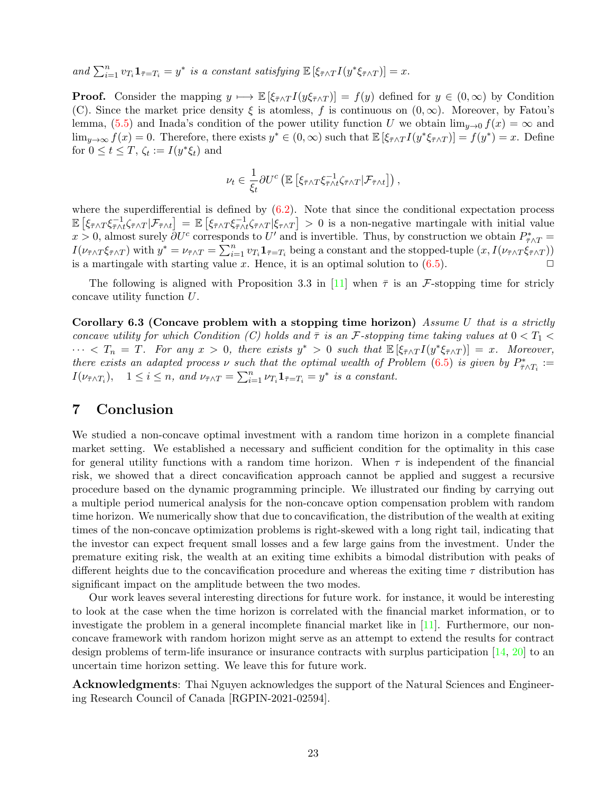and  $\sum_{i=1}^n v_{T_i} \mathbf{1}_{\bar{\tau}=T_i} = y^*$  is a constant satisfying  $\mathbb{E} \left[ \xi_{\bar{\tau} \wedge T} I(y^* \xi_{\bar{\tau} \wedge T}) \right] = x$ .

**Proof.** Consider the mapping  $y \mapsto \mathbb{E} [\xi_{\bar{\tau} \wedge T} I(y \xi_{\bar{\tau} \wedge T})] = f(y)$  defined for  $y \in (0, \infty)$  by Condition (C). Since the market price density  $\xi$  is atomless, f is continuous on  $(0, \infty)$ . Moreover, by Fatou's lemma, [\(5.5\)](#page-13-3) and Inada's condition of the power utility function U we obtain  $\lim_{y\to 0} f(x) = \infty$  and  $\lim_{y\to\infty} f(x) = 0$ . Therefore, there exists  $y^* \in (0,\infty)$  such that  $\mathbb{E}[\xi_{\bar{\tau}\wedge T}I(y^*\xi_{\bar{\tau}\wedge T})] = f(y^*) = x$ . Define for  $0 \le t \le T$ ,  $\zeta_t := I(y^*\xi_t)$  and

$$
\nu_t \in \frac{1}{\xi_t} \partial U^c \left( \mathbb{E} \left[ \xi_{\bar{\tau} \wedge T} \xi_{\bar{\tau} \wedge t}^{-1} \zeta_{\bar{\tau} \wedge T} | \mathcal{F}_{\bar{\tau} \wedge t} \right] \right),
$$

where the superdifferential is defined by  $(6.2)$ . Note that since the conditional expectation process  $\mathbb{E}\left[\xi_{\bar{\tau}\wedge T}\xi_{\bar{\tau}\wedge T}^{-1}|\mathcal{F}_{\bar{\tau}\wedge t}\right] = \mathbb{E}\left[\xi_{\bar{\tau}\wedge T}\xi_{\bar{\tau}\wedge T}^{-1}|\xi_{\tau\wedge T}\right] > 0$  is a non-negative martingale with initial value  $x > 0$ , almost surely  $\partial U^c$  corresponds to U' and is invertible. Thus, by construction we obtain  $P^*_{\bar{\tau}\wedge T} =$  $I(\nu_{\bar{\tau}\wedge T}\xi_{\bar{\tau}\wedge T})$  with  $y^* = \nu_{\bar{\tau}\wedge T} = \sum_{i=1}^n v_{T_i} \mathbf{1}_{\bar{\tau}=T_i}$  being a constant and the stopped-tuple  $(x, I(\nu_{\bar{\tau}\wedge T}\xi_{\bar{\tau}\wedge T}))$ is a martingale with starting value x. Hence, it is an optimal solution to  $(6.5)$ .

The following is aligned with Proposition 3.3 in [\[11\]](#page-23-3) when  $\bar{\tau}$  is an F-stopping time for stricly concave utility function U.

Corollary 6.3 (Concave problem with a stopping time horizon) Assume U that is a strictly concave utility for which Condition (C) holds and  $\bar{\tau}$  is an F-stopping time taking values at  $0 < T_1$  $\cdots < T_n = T$ . For any  $x > 0$ , there exists  $y^* > 0$  such that  $\mathbb{E}[\xi_{\bar{\tau} \wedge T} I(y^* \xi_{\bar{\tau} \wedge T})] = x$ . Moreover, there exists an adapted process  $\nu$  such that the optimal wealth of Problem [\(6.5\)](#page-21-1) is given by  $P^*_{\bar{\tau} \wedge T_i} :=$  $I(\nu_{\bar{\tau}\wedge T_i}), \quad 1 \leq i \leq n, \text{ and } \nu_{\bar{\tau}\wedge T} = \sum_{i=1}^n \nu_{T_i} \mathbf{1}_{\bar{\tau}=T_i} = y^* \text{ is a constant.}$ 

## <span id="page-22-0"></span>7 Conclusion

We studied a non-concave optimal investment with a random time horizon in a complete financial market setting. We established a necessary and sufficient condition for the optimality in this case for general utility functions with a random time horizon. When  $\tau$  is independent of the financial risk, we showed that a direct concavification approach cannot be applied and suggest a recursive procedure based on the dynamic programming principle. We illustrated our finding by carrying out a multiple period numerical analysis for the non-concave option compensation problem with random time horizon. We numerically show that due to concavification, the distribution of the wealth at exiting times of the non-concave optimization problems is right-skewed with a long right tail, indicating that the investor can expect frequent small losses and a few large gains from the investment. Under the premature exiting risk, the wealth at an exiting time exhibits a bimodal distribution with peaks of different heights due to the concavification procedure and whereas the exiting time  $\tau$  distribution has significant impact on the amplitude between the two modes.

Our work leaves several interesting directions for future work. for instance, it would be interesting to look at the case when the time horizon is correlated with the financial market information, or to investigate the problem in a general incomplete financial market like in [\[11\]](#page-23-3). Furthermore, our nonconcave framework with random horizon might serve as an attempt to extend the results for contract design problems of term-life insurance or insurance contracts with surplus participation [\[14,](#page-23-10) [20\]](#page-24-8) to an uncertain time horizon setting. We leave this for future work.

Acknowledgments: Thai Nguyen acknowledges the support of the Natural Sciences and Engineering Research Council of Canada [RGPIN-2021-02594].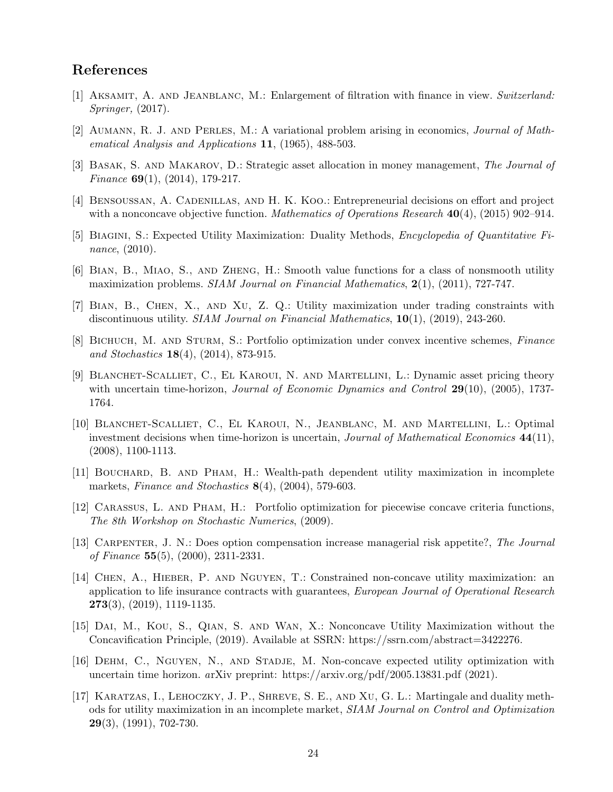## References

- <span id="page-23-12"></span>[1] Aksamit, A. and Jeanblanc, M.: Enlargement of filtration with finance in view. Switzerland: Springer, (2017).
- <span id="page-23-5"></span>[2] Aumann, R. J. and Perles, M.: A variational problem arising in economics, Journal of Mathematical Analysis and Applications 11, (1965), 488-503.
- <span id="page-23-6"></span>[3] BASAK, S. AND MAKAROV, D.: Strategic asset allocation in money management, The Journal of Finance  $69(1)$ ,  $(2014)$ , 179-217.
- <span id="page-23-7"></span>[4] Bensoussan, A. Cadenillas, and H. K. Koo.: Entrepreneurial decisions on effort and project with a nonconcave objective function. Mathematics of Operations Research  $40(4)$ , (2015) 902–914.
- <span id="page-23-0"></span>[5] BIAGINI, S.: Expected Utility Maximization: Duality Methods, *Encyclopedia of Quantitative Fi*nance, (2010).
- <span id="page-23-13"></span>[6] Bian, B., Miao, S., and Zheng, H.: Smooth value functions for a class of nonsmooth utility maximization problems. SIAM Journal on Financial Mathematics, 2(1), (2011), 727-747.
- <span id="page-23-14"></span>[7] Bian, B., Chen, X., and Xu, Z. Q.: Utility maximization under trading constraints with discontinuous utility. SIAM Journal on Financial Mathematics, 10(1), (2019), 243-260.
- <span id="page-23-8"></span>[8] BICHUCH, M. AND STURM, S.: Portfolio optimization under convex incentive schemes, Finance and Stochastics 18(4), (2014), 873-915.
- [9] Blanchet-Scalliet, C., El Karoui, N. and Martellini, L.: Dynamic asset pricing theory with uncertain time-horizon, *Journal of Economic Dynamics and Control* 29(10), (2005), 1737-1764.
- <span id="page-23-2"></span>[10] Blanchet-Scalliet, C., El Karoui, N., Jeanblanc, M. and Martellini, L.: Optimal investment decisions when time-horizon is uncertain, Journal of Mathematical Economics 44(11), (2008), 1100-1113.
- <span id="page-23-3"></span>[11] Bouchard, B. and Pham, H.: Wealth-path dependent utility maximization in incomplete markets, Finance and Stochastics 8(4), (2004), 579-603.
- <span id="page-23-9"></span>[12] Carassus, L. and Pham, H.: Portfolio optimization for piecewise concave criteria functions, The 8th Workshop on Stochastic Numerics, (2009).
- <span id="page-23-4"></span>[13] Carpenter, J. N.: Does option compensation increase managerial risk appetite?, The Journal of Finance 55(5),  $(2000)$ , 2311-2331.
- <span id="page-23-10"></span>[14] Chen, A., Hieber, P. and Nguyen, T.: Constrained non-concave utility maximization: an application to life insurance contracts with guarantees, European Journal of Operational Research  $273(3)$ ,  $(2019)$ , 1119-1135.
- <span id="page-23-11"></span>[15] Dai, M., Kou, S., Qian, S. and Wan, X.: Nonconcave Utility Maximization without the Concavification Principle, (2019). Available at SSRN: https://ssrn.com/abstract=3422276.
- [16] Dehm, C., Nguyen, N., and Stadje, M. Non-concave expected utility optimization with uncertain time horizon. arXiv preprint: https://arxiv.org/pdf/2005.13831.pdf (2021).
- <span id="page-23-1"></span>[17] Karatzas, I., Lehoczky, J. P., Shreve, S. E., and Xu, G. L.: Martingale and duality methods for utility maximization in an incomplete market, SIAM Journal on Control and Optimization  $29(3)$ ,  $(1991)$ , 702-730.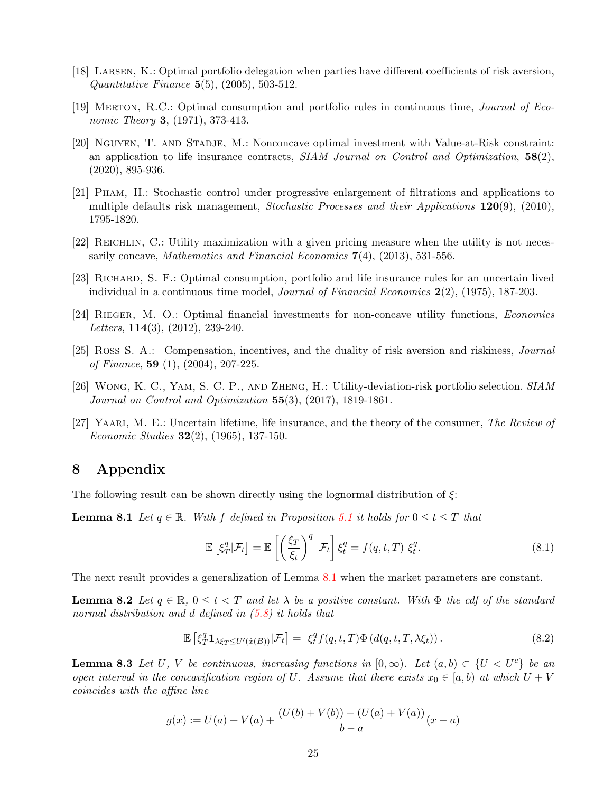- <span id="page-24-4"></span>[18] Larsen, K.: Optimal portfolio delegation when parties have different coefficients of risk aversion, *Quantitative Finance*  $5(5)$ ,  $(2005)$ ,  $503-512$ .
- <span id="page-24-0"></span>[19] Merton, R.C.: Optimal consumption and portfolio rules in continuous time, Journal of Economic Theory **3**, (1971), 373-413.
- <span id="page-24-8"></span>[20] NGUYEN, T. AND STADJE, M.: Nonconcave optimal investment with Value-at-Risk constraint: an application to life insurance contracts,  $SIAM\ Journal\ on\ Control\ and\ Optimization$ ,  $58(2)$ , (2020), 895-936.
- [21] Pham, H.: Stochastic control under progressive enlargement of filtrations and applications to multiple defaults risk management, Stochastic Processes and their Applications 120(9), (2010), 1795-1820.
- <span id="page-24-5"></span>[22] Reichlin, C.: Utility maximization with a given pricing measure when the utility is not necessarily concave, Mathematics and Financial Economics  $7(4)$ , (2013), 531-556.
- <span id="page-24-3"></span>[23] Richard, S. F.: Optimal consumption, portfolio and life insurance rules for an uncertain lived individual in a continuous time model, Journal of Financial Economics 2(2), (1975), 187-203.
- <span id="page-24-6"></span>[24] Rieger, M. O.: Optimal financial investments for non-concave utility functions, Economics Letters,  $114(3)$ ,  $(2012)$ ,  $239-240$ .
- <span id="page-24-7"></span>[25] Ross S. A.: Compensation, incentives, and the duality of risk aversion and riskiness, Journal of Finance, 59  $(1)$ ,  $(2004)$ ,  $207-225$ .
- <span id="page-24-1"></span>[26] Wong, K. C., Yam, S. C. P., and Zheng, H.: Utility-deviation-risk portfolio selection. SIAM Journal on Control and Optimization  $55(3)$ ,  $(2017)$ , 1819-1861.
- <span id="page-24-2"></span>[27] YAARI, M. E.: Uncertain lifetime, life insurance, and the theory of the consumer, The Review of Economic Studies  $32(2)$ , (1965), 137-150.

# 8 Appendix

The following result can be shown directly using the lognormal distribution of  $\xi$ :

**Lemma 8.1** Let  $q \in \mathbb{R}$ . With f defined in Proposition [5.1](#page-11-2) it holds for  $0 \le t \le T$  that

<span id="page-24-11"></span><span id="page-24-10"></span>
$$
\mathbb{E}\left[\xi_T^q|\mathcal{F}_t\right] = \mathbb{E}\left[\left(\frac{\xi_T}{\xi_t}\right)^q \bigg|\mathcal{F}_t\right] \xi_t^q = f(q, t, T) \xi_t^q.
$$
\n(8.1)

The next result provides a generalization of Lemma [8.1](#page-24-10) when the market parameters are constant.

**Lemma 8.2** Let  $q \in \mathbb{R}$ ,  $0 \le t \le T$  and let  $\lambda$  be a positive constant. With  $\Phi$  the cdf of the standard normal distribution and d defined in  $(5.8)$  it holds that

$$
\mathbb{E}\left[\xi_T^q \mathbf{1}_{\lambda\xi_T \leq U'(\hat{x}(B))}|\mathcal{F}_t\right] = \xi_t^q f(q,t,T)\Phi\left(d(q,t,T,\lambda\xi_t)\right). \tag{8.2}
$$

<span id="page-24-9"></span>**Lemma 8.3** Let U, V be continuous, increasing functions in  $[0, \infty)$ . Let  $(a, b) \subset \{U < U^c\}$  be an open interval in the concavification region of U. Assume that there exists  $x_0 \in [a, b]$  at which  $U + V$ coincides with the affine line

$$
g(x) := U(a) + V(a) + \frac{(U(b) + V(b)) - (U(a) + V(a))}{b - a}(x - a)
$$